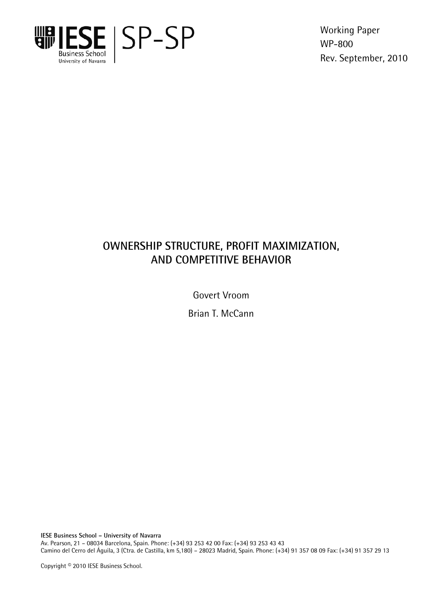

Working Paper WP-800 Rev. September, 2010

# **OWNERSHIP STRUCTURE, PROFIT MAXIMIZATION, AND COMPETITIVE BEHAVIOR**

Govert Vroom

Brian T. McCann

**IESE Business School – University of Navarra**  Av. Pearson, 21 – 08034 Barcelona, Spain. Phone: (+34) 93 253 42 00 Fax: (+34) 93 253 43 43 Camino del Cerro del Águila, 3 (Ctra. de Castilla, km 5,180) – 28023 Madrid, Spain. Phone: (+34) 91 357 08 09 Fax: (+34) 91 357 29 13

Copyright © 2010 IESE Business School.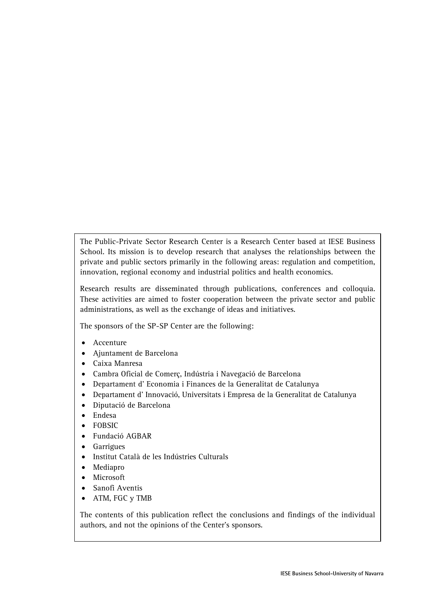The Public-Private Sector Research Center is a Research Center based at IESE Business School. Its mission is to develop research that analyses the relationships between the private and public sectors primarily in the following areas: regulation and competition, innovation, regional economy and industrial politics and health economics.

Research results are disseminated through publications, conferences and colloquia. These activities are aimed to foster cooperation between the private sector and public administrations, as well as the exchange of ideas and initiatives.

The sponsors of the SP-SP Center are the following:

- Accenture
- Ajuntament de Barcelona
- Caixa Manresa
- Cambra Oficial de Comerç, Indústria i Navegació de Barcelona
- Departament d' Economia i Finances de la Generalitat de Catalunya
- Departament d' Innovació, Universitats i Empresa de la Generalitat de Catalunya
- Diputació de Barcelona
- Endesa
- FOBSIC
- Fundació AGBAR
- Garrigues
- Institut Català de les Indústries Culturals
- Mediapro
- Microsoft
- Sanofi Aventis
- ATM, FGC y TMB

The contents of this publication reflect the conclusions and findings of the individual authors, and not the opinions of the Center's sponsors.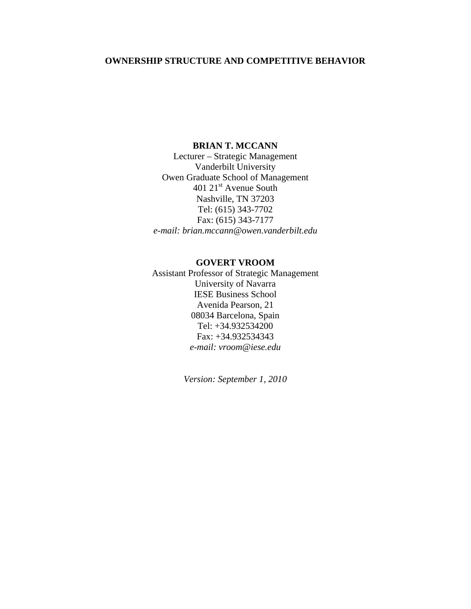## **OWNERSHIP STRUCTURE AND COMPETITIVE BEHAVIOR**

## **BRIAN T. MCCANN**

Lecturer – Strategic Management Vanderbilt University Owen Graduate School of Management 401 21<sup>st</sup> Avenue South Nashville, TN 37203 Tel: (615) 343-7702 Fax: (615) 343-7177 *e-mail: brian.mccann@owen.vanderbilt.edu* 

#### **GOVERT VROOM**

Assistant Professor of Strategic Management University of Navarra IESE Business School Avenida Pearson, 21 08034 Barcelona, Spain Tel: +34.932534200 Fax: +34.932534343 *e-mail: vroom@iese.edu* 

*Version: September 1, 2010*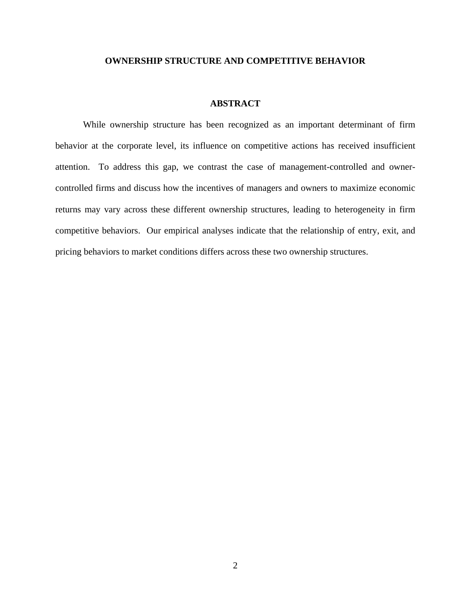#### **OWNERSHIP STRUCTURE AND COMPETITIVE BEHAVIOR**

#### **ABSTRACT**

While ownership structure has been recognized as an important determinant of firm behavior at the corporate level, its influence on competitive actions has received insufficient attention. To address this gap, we contrast the case of management-controlled and ownercontrolled firms and discuss how the incentives of managers and owners to maximize economic returns may vary across these different ownership structures, leading to heterogeneity in firm competitive behaviors. Our empirical analyses indicate that the relationship of entry, exit, and pricing behaviors to market conditions differs across these two ownership structures.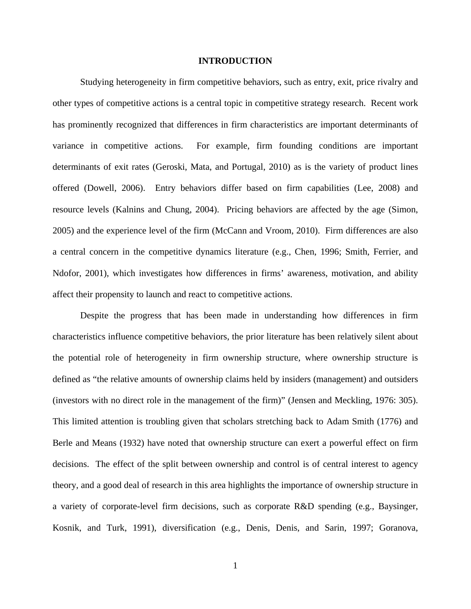#### **INTRODUCTION**

Studying heterogeneity in firm competitive behaviors, such as entry, exit, price rivalry and other types of competitive actions is a central topic in competitive strategy research. Recent work has prominently recognized that differences in firm characteristics are important determinants of variance in competitive actions. For example, firm founding conditions are important determinants of exit rates (Geroski, Mata, and Portugal, 2010) as is the variety of product lines offered (Dowell, 2006). Entry behaviors differ based on firm capabilities (Lee, 2008) and resource levels (Kalnins and Chung, 2004). Pricing behaviors are affected by the age (Simon, 2005) and the experience level of the firm (McCann and Vroom, 2010). Firm differences are also a central concern in the competitive dynamics literature (e.g., Chen, 1996; Smith, Ferrier, and Ndofor, 2001), which investigates how differences in firms' awareness, motivation, and ability affect their propensity to launch and react to competitive actions.

Despite the progress that has been made in understanding how differences in firm characteristics influence competitive behaviors, the prior literature has been relatively silent about the potential role of heterogeneity in firm ownership structure, where ownership structure is defined as "the relative amounts of ownership claims held by insiders (management) and outsiders (investors with no direct role in the management of the firm)" (Jensen and Meckling, 1976: 305). This limited attention is troubling given that scholars stretching back to Adam Smith (1776) and Berle and Means (1932) have noted that ownership structure can exert a powerful effect on firm decisions. The effect of the split between ownership and control is of central interest to agency theory, and a good deal of research in this area highlights the importance of ownership structure in a variety of corporate-level firm decisions, such as corporate R&D spending (e.g., Baysinger, Kosnik, and Turk, 1991), diversification (e.g., Denis, Denis, and Sarin, 1997; Goranova,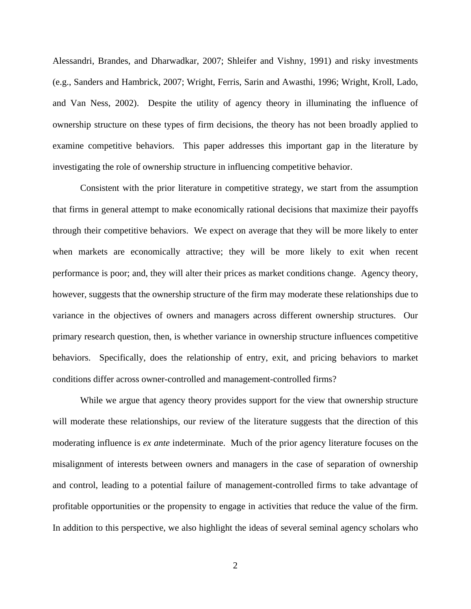Alessandri, Brandes, and Dharwadkar, 2007; Shleifer and Vishny, 1991) and risky investments (e.g., Sanders and Hambrick, 2007; Wright, Ferris, Sarin and Awasthi, 1996; Wright, Kroll, Lado, and Van Ness, 2002). Despite the utility of agency theory in illuminating the influence of ownership structure on these types of firm decisions, the theory has not been broadly applied to examine competitive behaviors. This paper addresses this important gap in the literature by investigating the role of ownership structure in influencing competitive behavior.

Consistent with the prior literature in competitive strategy, we start from the assumption that firms in general attempt to make economically rational decisions that maximize their payoffs through their competitive behaviors. We expect on average that they will be more likely to enter when markets are economically attractive; they will be more likely to exit when recent performance is poor; and, they will alter their prices as market conditions change. Agency theory, however, suggests that the ownership structure of the firm may moderate these relationships due to variance in the objectives of owners and managers across different ownership structures. Our primary research question, then, is whether variance in ownership structure influences competitive behaviors. Specifically, does the relationship of entry, exit, and pricing behaviors to market conditions differ across owner-controlled and management-controlled firms?

While we argue that agency theory provides support for the view that ownership structure will moderate these relationships, our review of the literature suggests that the direction of this moderating influence is *ex ante* indeterminate. Much of the prior agency literature focuses on the misalignment of interests between owners and managers in the case of separation of ownership and control, leading to a potential failure of management-controlled firms to take advantage of profitable opportunities or the propensity to engage in activities that reduce the value of the firm. In addition to this perspective, we also highlight the ideas of several seminal agency scholars who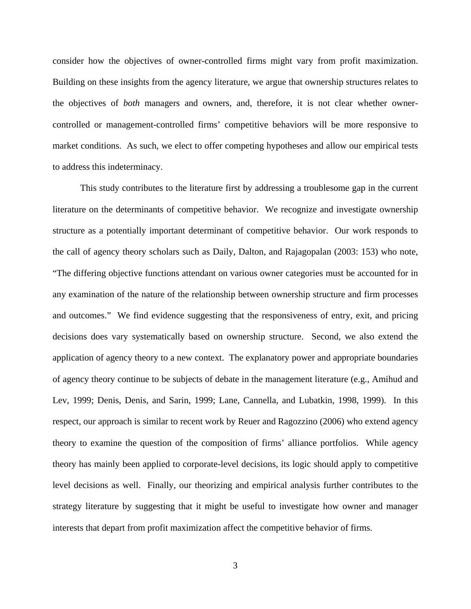consider how the objectives of owner-controlled firms might vary from profit maximization. Building on these insights from the agency literature, we argue that ownership structures relates to the objectives of *both* managers and owners, and, therefore, it is not clear whether ownercontrolled or management-controlled firms' competitive behaviors will be more responsive to market conditions. As such, we elect to offer competing hypotheses and allow our empirical tests to address this indeterminacy.

This study contributes to the literature first by addressing a troublesome gap in the current literature on the determinants of competitive behavior. We recognize and investigate ownership structure as a potentially important determinant of competitive behavior. Our work responds to the call of agency theory scholars such as Daily, Dalton, and Rajagopalan (2003: 153) who note, "The differing objective functions attendant on various owner categories must be accounted for in any examination of the nature of the relationship between ownership structure and firm processes and outcomes." We find evidence suggesting that the responsiveness of entry, exit, and pricing decisions does vary systematically based on ownership structure. Second, we also extend the application of agency theory to a new context. The explanatory power and appropriate boundaries of agency theory continue to be subjects of debate in the management literature (e.g., Amihud and Lev, 1999; Denis, Denis, and Sarin, 1999; Lane, Cannella, and Lubatkin, 1998, 1999). In this respect, our approach is similar to recent work by Reuer and Ragozzino (2006) who extend agency theory to examine the question of the composition of firms' alliance portfolios. While agency theory has mainly been applied to corporate-level decisions, its logic should apply to competitive level decisions as well. Finally, our theorizing and empirical analysis further contributes to the strategy literature by suggesting that it might be useful to investigate how owner and manager interests that depart from profit maximization affect the competitive behavior of firms.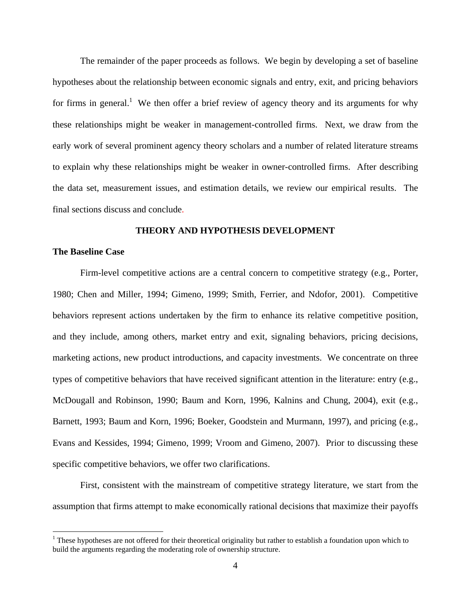The remainder of the paper proceeds as follows. We begin by developing a set of baseline hypotheses about the relationship between economic signals and entry, exit, and pricing behaviors for firms in general.<sup>1</sup> We then offer a brief review of agency theory and its arguments for why these relationships might be weaker in management-controlled firms. Next, we draw from the early work of several prominent agency theory scholars and a number of related literature streams to explain why these relationships might be weaker in owner-controlled firms. After describing the data set, measurement issues, and estimation details, we review our empirical results. The final sections discuss and conclude.

#### **THEORY AND HYPOTHESIS DEVELOPMENT**

#### **The Baseline Case**

 $\overline{a}$ 

Firm-level competitive actions are a central concern to competitive strategy (e.g., Porter, 1980; Chen and Miller, 1994; Gimeno, 1999; Smith, Ferrier, and Ndofor, 2001). Competitive behaviors represent actions undertaken by the firm to enhance its relative competitive position, and they include, among others, market entry and exit, signaling behaviors, pricing decisions, marketing actions, new product introductions, and capacity investments. We concentrate on three types of competitive behaviors that have received significant attention in the literature: entry (e.g., McDougall and Robinson, 1990; Baum and Korn, 1996, Kalnins and Chung, 2004), exit (e.g., Barnett, 1993; Baum and Korn, 1996; Boeker, Goodstein and Murmann, 1997), and pricing (e.g., Evans and Kessides, 1994; Gimeno, 1999; Vroom and Gimeno, 2007). Prior to discussing these specific competitive behaviors, we offer two clarifications.

First, consistent with the mainstream of competitive strategy literature, we start from the assumption that firms attempt to make economically rational decisions that maximize their payoffs

 $1$  These hypotheses are not offered for their theoretical originality but rather to establish a foundation upon which to build the arguments regarding the moderating role of ownership structure.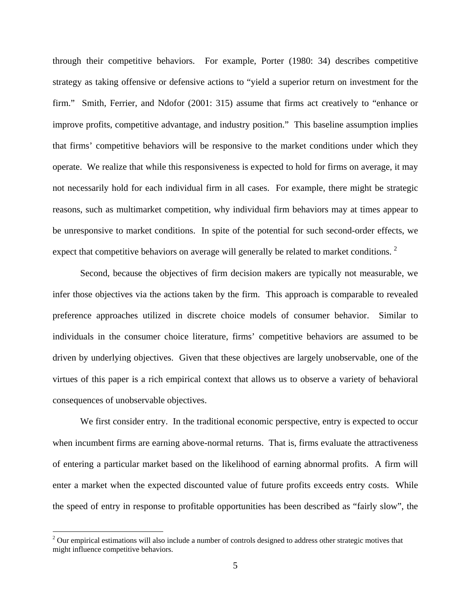through their competitive behaviors. For example, Porter (1980: 34) describes competitive strategy as taking offensive or defensive actions to "yield a superior return on investment for the firm." Smith, Ferrier, and Ndofor (2001: 315) assume that firms act creatively to "enhance or improve profits, competitive advantage, and industry position." This baseline assumption implies that firms' competitive behaviors will be responsive to the market conditions under which they operate. We realize that while this responsiveness is expected to hold for firms on average, it may not necessarily hold for each individual firm in all cases. For example, there might be strategic reasons, such as multimarket competition, why individual firm behaviors may at times appear to be unresponsive to market conditions. In spite of the potential for such second-order effects, we expect that competitive behaviors on average will generally be related to market conditions.<sup>2</sup>

Second, because the objectives of firm decision makers are typically not measurable, we infer those objectives via the actions taken by the firm. This approach is comparable to revealed preference approaches utilized in discrete choice models of consumer behavior. Similar to individuals in the consumer choice literature, firms' competitive behaviors are assumed to be driven by underlying objectives. Given that these objectives are largely unobservable, one of the virtues of this paper is a rich empirical context that allows us to observe a variety of behavioral consequences of unobservable objectives.

We first consider entry. In the traditional economic perspective, entry is expected to occur when incumbent firms are earning above-normal returns. That is, firms evaluate the attractiveness of entering a particular market based on the likelihood of earning abnormal profits. A firm will enter a market when the expected discounted value of future profits exceeds entry costs. While the speed of entry in response to profitable opportunities has been described as "fairly slow", the

 $\overline{a}$ 

 $2$  Our empirical estimations will also include a number of controls designed to address other strategic motives that might influence competitive behaviors.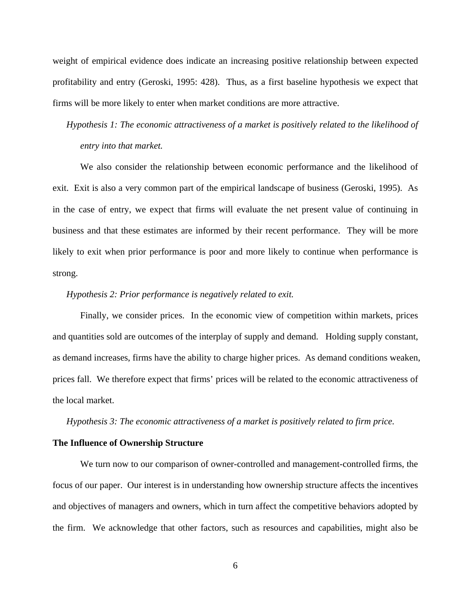weight of empirical evidence does indicate an increasing positive relationship between expected profitability and entry (Geroski, 1995: 428). Thus, as a first baseline hypothesis we expect that firms will be more likely to enter when market conditions are more attractive.

*Hypothesis 1: The economic attractiveness of a market is positively related to the likelihood of entry into that market.* 

We also consider the relationship between economic performance and the likelihood of exit. Exit is also a very common part of the empirical landscape of business (Geroski, 1995). As in the case of entry, we expect that firms will evaluate the net present value of continuing in business and that these estimates are informed by their recent performance. They will be more likely to exit when prior performance is poor and more likely to continue when performance is strong.

#### *Hypothesis 2: Prior performance is negatively related to exit.*

Finally, we consider prices. In the economic view of competition within markets, prices and quantities sold are outcomes of the interplay of supply and demand. Holding supply constant, as demand increases, firms have the ability to charge higher prices. As demand conditions weaken, prices fall. We therefore expect that firms' prices will be related to the economic attractiveness of the local market.

*Hypothesis 3: The economic attractiveness of a market is positively related to firm price.* 

#### **The Influence of Ownership Structure**

We turn now to our comparison of owner-controlled and management-controlled firms, the focus of our paper. Our interest is in understanding how ownership structure affects the incentives and objectives of managers and owners, which in turn affect the competitive behaviors adopted by the firm. We acknowledge that other factors, such as resources and capabilities, might also be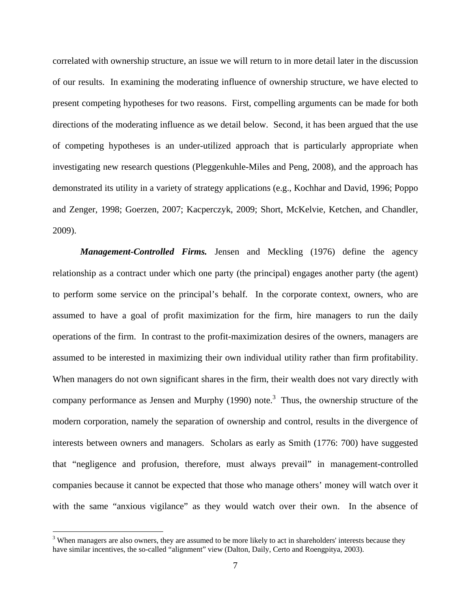correlated with ownership structure, an issue we will return to in more detail later in the discussion of our results. In examining the moderating influence of ownership structure, we have elected to present competing hypotheses for two reasons. First, compelling arguments can be made for both directions of the moderating influence as we detail below. Second, it has been argued that the use of competing hypotheses is an under-utilized approach that is particularly appropriate when investigating new research questions (Pleggenkuhle-Miles and Peng, 2008), and the approach has demonstrated its utility in a variety of strategy applications (e.g., Kochhar and David, 1996; Poppo and Zenger, 1998; Goerzen, 2007; Kacperczyk, 2009; Short, McKelvie, Ketchen, and Chandler, 2009).

*Management-Controlled Firms.* Jensen and Meckling (1976) define the agency relationship as a contract under which one party (the principal) engages another party (the agent) to perform some service on the principal's behalf. In the corporate context, owners, who are assumed to have a goal of profit maximization for the firm, hire managers to run the daily operations of the firm. In contrast to the profit-maximization desires of the owners, managers are assumed to be interested in maximizing their own individual utility rather than firm profitability. When managers do not own significant shares in the firm, their wealth does not vary directly with company performance as Jensen and Murphy  $(1990)$  note.<sup>3</sup> Thus, the ownership structure of the modern corporation, namely the separation of ownership and control, results in the divergence of interests between owners and managers. Scholars as early as Smith (1776: 700) have suggested that "negligence and profusion, therefore, must always prevail" in management-controlled companies because it cannot be expected that those who manage others' money will watch over it with the same "anxious vigilance" as they would watch over their own. In the absence of

 $\overline{a}$ 

 $3$  When managers are also owners, they are assumed to be more likely to act in shareholders' interests because they have similar incentives, the so-called "alignment" view (Dalton, Daily, Certo and Roengpitya, 2003).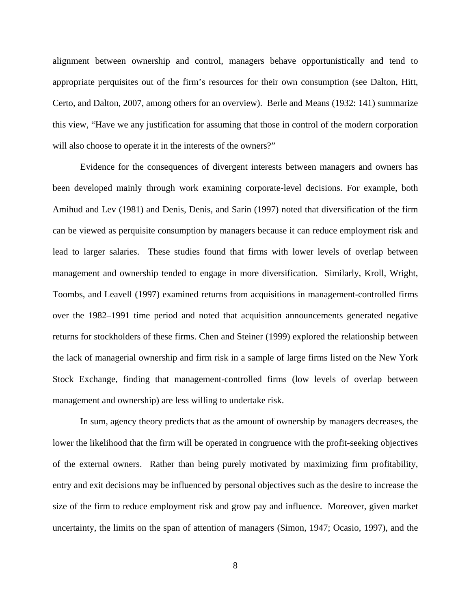alignment between ownership and control, managers behave opportunistically and tend to appropriate perquisites out of the firm's resources for their own consumption (see Dalton, Hitt, Certo, and Dalton, 2007, among others for an overview). Berle and Means (1932: 141) summarize this view, "Have we any justification for assuming that those in control of the modern corporation will also choose to operate it in the interests of the owners?"

Evidence for the consequences of divergent interests between managers and owners has been developed mainly through work examining corporate-level decisions. For example, both Amihud and Lev (1981) and Denis, Denis, and Sarin (1997) noted that diversification of the firm can be viewed as perquisite consumption by managers because it can reduce employment risk and lead to larger salaries. These studies found that firms with lower levels of overlap between management and ownership tended to engage in more diversification. Similarly, Kroll, Wright, Toombs, and Leavell (1997) examined returns from acquisitions in management-controlled firms over the 1982–1991 time period and noted that acquisition announcements generated negative returns for stockholders of these firms. Chen and Steiner (1999) explored the relationship between the lack of managerial ownership and firm risk in a sample of large firms listed on the New York Stock Exchange, finding that management-controlled firms (low levels of overlap between management and ownership) are less willing to undertake risk.

In sum, agency theory predicts that as the amount of ownership by managers decreases, the lower the likelihood that the firm will be operated in congruence with the profit-seeking objectives of the external owners. Rather than being purely motivated by maximizing firm profitability, entry and exit decisions may be influenced by personal objectives such as the desire to increase the size of the firm to reduce employment risk and grow pay and influence. Moreover, given market uncertainty, the limits on the span of attention of managers (Simon, 1947; Ocasio, 1997), and the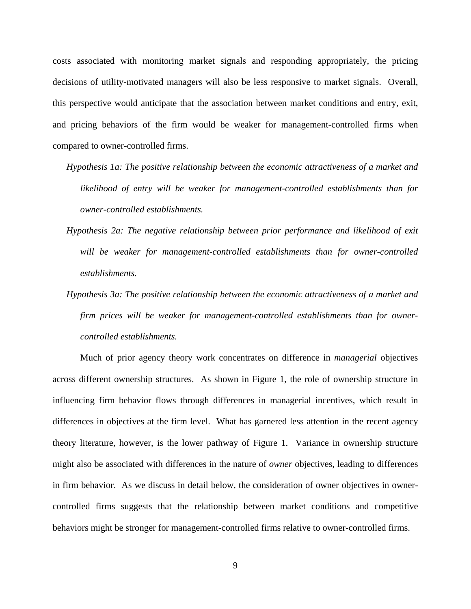costs associated with monitoring market signals and responding appropriately, the pricing decisions of utility-motivated managers will also be less responsive to market signals. Overall, this perspective would anticipate that the association between market conditions and entry, exit, and pricing behaviors of the firm would be weaker for management-controlled firms when compared to owner-controlled firms.

- *Hypothesis 1a: The positive relationship between the economic attractiveness of a market and likelihood of entry will be weaker for management-controlled establishments than for owner-controlled establishments.*
- *Hypothesis 2a: The negative relationship between prior performance and likelihood of exit will be weaker for management-controlled establishments than for owner-controlled establishments.*
- *Hypothesis 3a: The positive relationship between the economic attractiveness of a market and firm prices will be weaker for management-controlled establishments than for ownercontrolled establishments.*

Much of prior agency theory work concentrates on difference in *managerial* objectives across different ownership structures. As shown in Figure 1, the role of ownership structure in influencing firm behavior flows through differences in managerial incentives, which result in differences in objectives at the firm level. What has garnered less attention in the recent agency theory literature, however, is the lower pathway of Figure 1. Variance in ownership structure might also be associated with differences in the nature of *owner* objectives, leading to differences in firm behavior. As we discuss in detail below, the consideration of owner objectives in ownercontrolled firms suggests that the relationship between market conditions and competitive behaviors might be stronger for management-controlled firms relative to owner-controlled firms.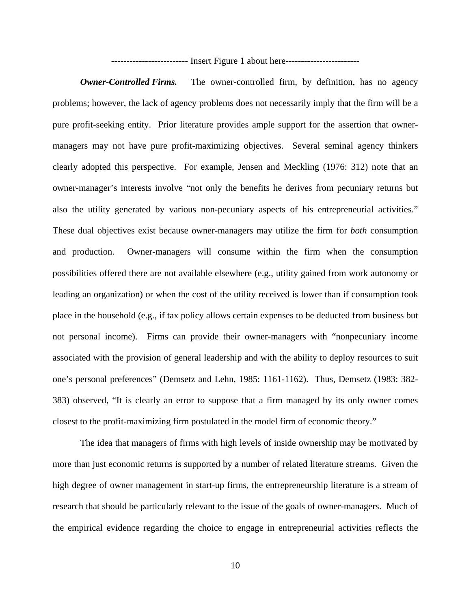------------------------- Insert Figure 1 about here------------------------

*Owner-Controlled Firms.* The owner-controlled firm, by definition, has no agency problems; however, the lack of agency problems does not necessarily imply that the firm will be a pure profit-seeking entity. Prior literature provides ample support for the assertion that ownermanagers may not have pure profit-maximizing objectives. Several seminal agency thinkers clearly adopted this perspective. For example, Jensen and Meckling (1976: 312) note that an owner-manager's interests involve "not only the benefits he derives from pecuniary returns but also the utility generated by various non-pecuniary aspects of his entrepreneurial activities." These dual objectives exist because owner-managers may utilize the firm for *both* consumption and production. Owner-managers will consume within the firm when the consumption possibilities offered there are not available elsewhere (e.g., utility gained from work autonomy or leading an organization) or when the cost of the utility received is lower than if consumption took place in the household (e.g., if tax policy allows certain expenses to be deducted from business but not personal income). Firms can provide their owner-managers with "nonpecuniary income associated with the provision of general leadership and with the ability to deploy resources to suit one's personal preferences" (Demsetz and Lehn, 1985: 1161-1162). Thus, Demsetz (1983: 382- 383) observed, "It is clearly an error to suppose that a firm managed by its only owner comes closest to the profit-maximizing firm postulated in the model firm of economic theory."

The idea that managers of firms with high levels of inside ownership may be motivated by more than just economic returns is supported by a number of related literature streams. Given the high degree of owner management in start-up firms, the entrepreneurship literature is a stream of research that should be particularly relevant to the issue of the goals of owner-managers. Much of the empirical evidence regarding the choice to engage in entrepreneurial activities reflects the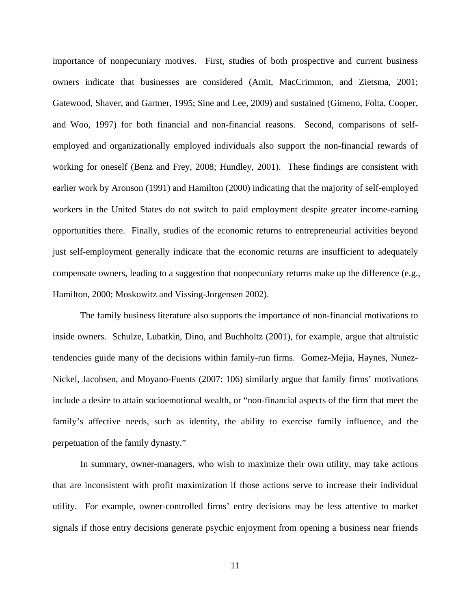importance of nonpecuniary motives. First, studies of both prospective and current business owners indicate that businesses are considered (Amit, MacCrimmon, and Zietsma, 2001; Gatewood, Shaver, and Gartner, 1995; Sine and Lee, 2009) and sustained (Gimeno, Folta, Cooper, and Woo, 1997) for both financial and non-financial reasons. Second, comparisons of selfemployed and organizationally employed individuals also support the non-financial rewards of working for oneself (Benz and Frey, 2008; Hundley, 2001). These findings are consistent with earlier work by Aronson (1991) and Hamilton (2000) indicating that the majority of self-employed workers in the United States do not switch to paid employment despite greater income-earning opportunities there. Finally, studies of the economic returns to entrepreneurial activities beyond just self-employment generally indicate that the economic returns are insufficient to adequately compensate owners, leading to a suggestion that nonpecuniary returns make up the difference (e.g., Hamilton, 2000; Moskowitz and Vissing-Jorgensen 2002).

The family business literature also supports the importance of non-financial motivations to inside owners. Schulze, Lubatkin, Dino, and Buchholtz (2001), for example, argue that altruistic tendencies guide many of the decisions within family-run firms. Gomez-Mejia, Haynes, Nunez-Nickel, Jacobsen, and Moyano-Fuents (2007: 106) similarly argue that family firms' motivations include a desire to attain socioemotional wealth, or "non-financial aspects of the firm that meet the family's affective needs, such as identity, the ability to exercise family influence, and the perpetuation of the family dynasty."

In summary, owner-managers, who wish to maximize their own utility, may take actions that are inconsistent with profit maximization if those actions serve to increase their individual utility. For example, owner-controlled firms' entry decisions may be less attentive to market signals if those entry decisions generate psychic enjoyment from opening a business near friends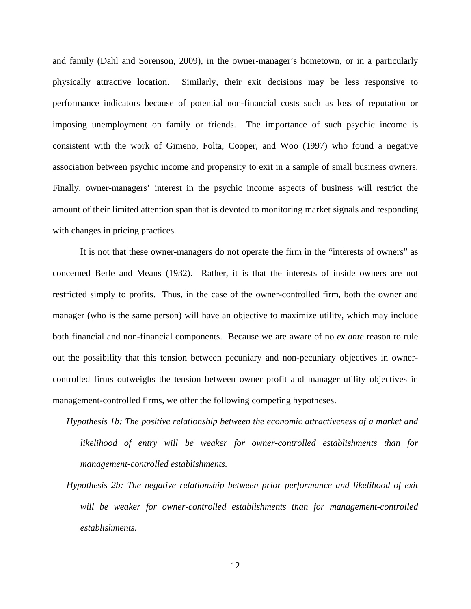and family (Dahl and Sorenson, 2009), in the owner-manager's hometown, or in a particularly physically attractive location. Similarly, their exit decisions may be less responsive to performance indicators because of potential non-financial costs such as loss of reputation or imposing unemployment on family or friends. The importance of such psychic income is consistent with the work of Gimeno, Folta, Cooper, and Woo (1997) who found a negative association between psychic income and propensity to exit in a sample of small business owners. Finally, owner-managers' interest in the psychic income aspects of business will restrict the amount of their limited attention span that is devoted to monitoring market signals and responding with changes in pricing practices.

It is not that these owner-managers do not operate the firm in the "interests of owners" as concerned Berle and Means (1932). Rather, it is that the interests of inside owners are not restricted simply to profits. Thus, in the case of the owner-controlled firm, both the owner and manager (who is the same person) will have an objective to maximize utility, which may include both financial and non-financial components. Because we are aware of no *ex ante* reason to rule out the possibility that this tension between pecuniary and non-pecuniary objectives in ownercontrolled firms outweighs the tension between owner profit and manager utility objectives in management-controlled firms, we offer the following competing hypotheses.

- *Hypothesis 1b: The positive relationship between the economic attractiveness of a market and likelihood of entry will be weaker for owner-controlled establishments than for management-controlled establishments.*
- *Hypothesis 2b: The negative relationship between prior performance and likelihood of exit will be weaker for owner-controlled establishments than for management-controlled establishments.*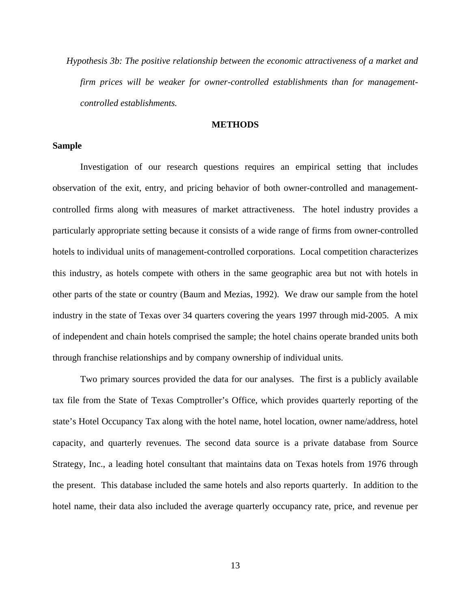*Hypothesis 3b: The positive relationship between the economic attractiveness of a market and firm prices will be weaker for owner-controlled establishments than for managementcontrolled establishments.*

#### **METHODS**

#### **Sample**

Investigation of our research questions requires an empirical setting that includes observation of the exit, entry, and pricing behavior of both owner-controlled and managementcontrolled firms along with measures of market attractiveness. The hotel industry provides a particularly appropriate setting because it consists of a wide range of firms from owner-controlled hotels to individual units of management-controlled corporations. Local competition characterizes this industry, as hotels compete with others in the same geographic area but not with hotels in other parts of the state or country (Baum and Mezias, 1992). We draw our sample from the hotel industry in the state of Texas over 34 quarters covering the years 1997 through mid-2005. A mix of independent and chain hotels comprised the sample; the hotel chains operate branded units both through franchise relationships and by company ownership of individual units.

Two primary sources provided the data for our analyses. The first is a publicly available tax file from the State of Texas Comptroller's Office, which provides quarterly reporting of the state's Hotel Occupancy Tax along with the hotel name, hotel location, owner name/address, hotel capacity, and quarterly revenues. The second data source is a private database from Source Strategy, Inc., a leading hotel consultant that maintains data on Texas hotels from 1976 through the present. This database included the same hotels and also reports quarterly. In addition to the hotel name, their data also included the average quarterly occupancy rate, price, and revenue per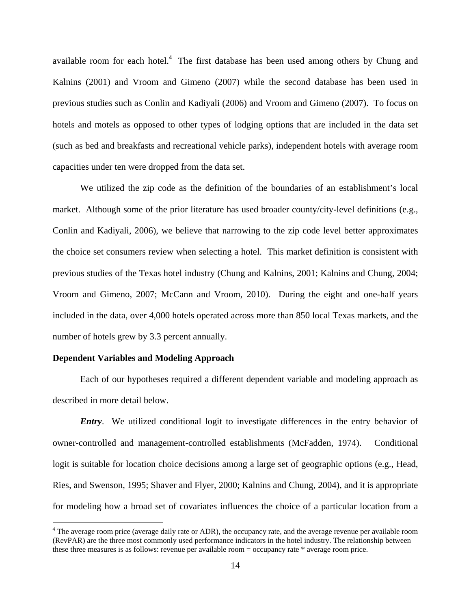available room for each hotel. $4$  The first database has been used among others by Chung and Kalnins (2001) and Vroom and Gimeno (2007) while the second database has been used in previous studies such as Conlin and Kadiyali (2006) and Vroom and Gimeno (2007). To focus on hotels and motels as opposed to other types of lodging options that are included in the data set (such as bed and breakfasts and recreational vehicle parks), independent hotels with average room capacities under ten were dropped from the data set.

 We utilized the zip code as the definition of the boundaries of an establishment's local market. Although some of the prior literature has used broader county/city-level definitions (e.g., Conlin and Kadiyali, 2006), we believe that narrowing to the zip code level better approximates the choice set consumers review when selecting a hotel. This market definition is consistent with previous studies of the Texas hotel industry (Chung and Kalnins, 2001; Kalnins and Chung, 2004; Vroom and Gimeno, 2007; McCann and Vroom, 2010). During the eight and one-half years included in the data, over 4,000 hotels operated across more than 850 local Texas markets, and the number of hotels grew by 3.3 percent annually.

#### **Dependent Variables and Modeling Approach**

 $\overline{a}$ 

Each of our hypotheses required a different dependent variable and modeling approach as described in more detail below.

*Entry*. We utilized conditional logit to investigate differences in the entry behavior of owner-controlled and management-controlled establishments (McFadden, 1974). Conditional logit is suitable for location choice decisions among a large set of geographic options (e.g., Head, Ries, and Swenson, 1995; Shaver and Flyer, 2000; Kalnins and Chung, 2004), and it is appropriate for modeling how a broad set of covariates influences the choice of a particular location from a

 $4$  The average room price (average daily rate or ADR), the occupancy rate, and the average revenue per available room (RevPAR) are the three most commonly used performance indicators in the hotel industry. The relationship between these three measures is as follows: revenue per available room = occupancy rate \* average room price.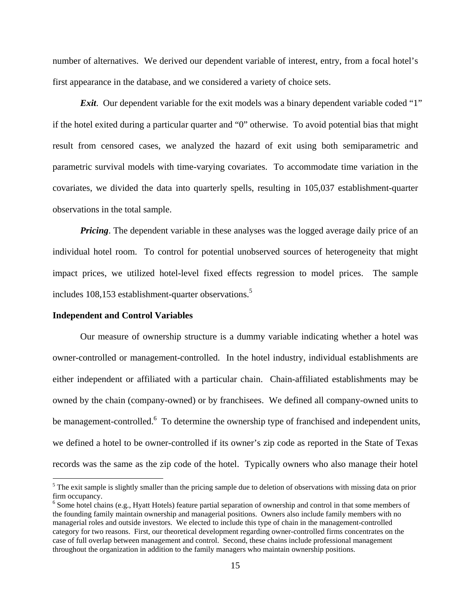number of alternatives. We derived our dependent variable of interest, entry, from a focal hotel's first appearance in the database, and we considered a variety of choice sets.

*Exit*. Our dependent variable for the exit models was a binary dependent variable coded "1" if the hotel exited during a particular quarter and "0" otherwise. To avoid potential bias that might result from censored cases, we analyzed the hazard of exit using both semiparametric and parametric survival models with time-varying covariates. To accommodate time variation in the covariates, we divided the data into quarterly spells, resulting in 105,037 establishment-quarter observations in the total sample.

*Pricing*. The dependent variable in these analyses was the logged average daily price of an individual hotel room. To control for potential unobserved sources of heterogeneity that might impact prices, we utilized hotel-level fixed effects regression to model prices. The sample includes 108,153 establishment-quarter observations.<sup>5</sup>

#### **Independent and Control Variables**

 $\overline{a}$ 

Our measure of ownership structure is a dummy variable indicating whether a hotel was owner-controlled or management-controlled. In the hotel industry, individual establishments are either independent or affiliated with a particular chain. Chain-affiliated establishments may be owned by the chain (company-owned) or by franchisees. We defined all company-owned units to be management-controlled.<sup>6</sup> To determine the ownership type of franchised and independent units, we defined a hotel to be owner-controlled if its owner's zip code as reported in the State of Texas records was the same as the zip code of the hotel. Typically owners who also manage their hotel

<sup>&</sup>lt;sup>5</sup> The exit sample is slightly smaller than the pricing sample due to deletion of observations with missing data on prior firm occupancy.

<sup>&</sup>lt;sup>6</sup> Some hotel chains (e.g., Hyatt Hotels) feature partial separation of ownership and control in that some members of the founding family maintain ownership and managerial positions. Owners also include family members with no managerial roles and outside investors. We elected to include this type of chain in the management-controlled category for two reasons. First, our theoretical development regarding owner-controlled firms concentrates on the case of full overlap between management and control. Second, these chains include professional management throughout the organization in addition to the family managers who maintain ownership positions.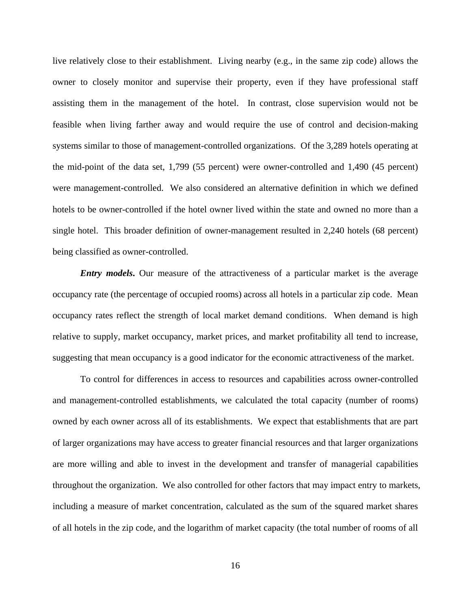live relatively close to their establishment. Living nearby (e.g., in the same zip code) allows the owner to closely monitor and supervise their property, even if they have professional staff assisting them in the management of the hotel. In contrast, close supervision would not be feasible when living farther away and would require the use of control and decision-making systems similar to those of management-controlled organizations. Of the 3,289 hotels operating at the mid-point of the data set, 1,799 (55 percent) were owner-controlled and 1,490 (45 percent) were management-controlled. We also considered an alternative definition in which we defined hotels to be owner-controlled if the hotel owner lived within the state and owned no more than a single hotel. This broader definition of owner-management resulted in 2,240 hotels (68 percent) being classified as owner-controlled.

*Entry models*. Our measure of the attractiveness of a particular market is the average occupancy rate (the percentage of occupied rooms) across all hotels in a particular zip code. Mean occupancy rates reflect the strength of local market demand conditions. When demand is high relative to supply, market occupancy, market prices, and market profitability all tend to increase, suggesting that mean occupancy is a good indicator for the economic attractiveness of the market.

To control for differences in access to resources and capabilities across owner-controlled and management-controlled establishments, we calculated the total capacity (number of rooms) owned by each owner across all of its establishments. We expect that establishments that are part of larger organizations may have access to greater financial resources and that larger organizations are more willing and able to invest in the development and transfer of managerial capabilities throughout the organization. We also controlled for other factors that may impact entry to markets, including a measure of market concentration, calculated as the sum of the squared market shares of all hotels in the zip code, and the logarithm of market capacity (the total number of rooms of all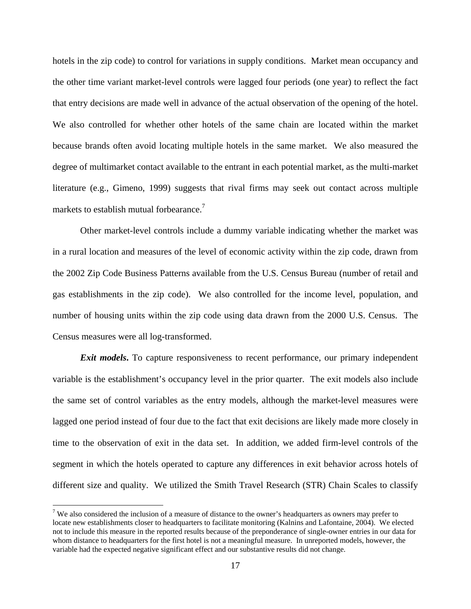hotels in the zip code) to control for variations in supply conditions. Market mean occupancy and the other time variant market-level controls were lagged four periods (one year) to reflect the fact that entry decisions are made well in advance of the actual observation of the opening of the hotel. We also controlled for whether other hotels of the same chain are located within the market because brands often avoid locating multiple hotels in the same market. We also measured the degree of multimarket contact available to the entrant in each potential market, as the multi-market literature (e.g., Gimeno, 1999) suggests that rival firms may seek out contact across multiple markets to establish mutual forbearance.<sup>7</sup>

Other market-level controls include a dummy variable indicating whether the market was in a rural location and measures of the level of economic activity within the zip code, drawn from the 2002 Zip Code Business Patterns available from the U.S. Census Bureau (number of retail and gas establishments in the zip code). We also controlled for the income level, population, and number of housing units within the zip code using data drawn from the 2000 U.S. Census. The Census measures were all log-transformed.

*Exit models*. To capture responsiveness to recent performance, our primary independent variable is the establishment's occupancy level in the prior quarter. The exit models also include the same set of control variables as the entry models, although the market-level measures were lagged one period instead of four due to the fact that exit decisions are likely made more closely in time to the observation of exit in the data set. In addition, we added firm-level controls of the segment in which the hotels operated to capture any differences in exit behavior across hotels of different size and quality. We utilized the Smith Travel Research (STR) Chain Scales to classify

 $\overline{a}$ 

<sup>&</sup>lt;sup>7</sup> We also considered the inclusion of a measure of distance to the owner's headquarters as owners may prefer to locate new establishments closer to headquarters to facilitate monitoring (Kalnins and Lafontaine, 2004). We elected not to include this measure in the reported results because of the preponderance of single-owner entries in our data for whom distance to headquarters for the first hotel is not a meaningful measure. In unreported models, however, the variable had the expected negative significant effect and our substantive results did not change.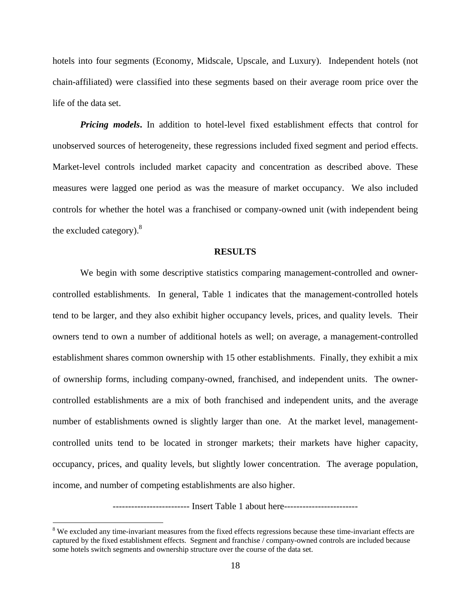hotels into four segments (Economy, Midscale, Upscale, and Luxury). Independent hotels (not chain-affiliated) were classified into these segments based on their average room price over the life of the data set.

*Pricing models***.** In addition to hotel-level fixed establishment effects that control for unobserved sources of heterogeneity, these regressions included fixed segment and period effects. Market-level controls included market capacity and concentration as described above. These measures were lagged one period as was the measure of market occupancy. We also included controls for whether the hotel was a franchised or company-owned unit (with independent being the excluded category). $8$ 

#### **RESULTS**

We begin with some descriptive statistics comparing management-controlled and ownercontrolled establishments. In general, Table 1 indicates that the management-controlled hotels tend to be larger, and they also exhibit higher occupancy levels, prices, and quality levels. Their owners tend to own a number of additional hotels as well; on average, a management-controlled establishment shares common ownership with 15 other establishments. Finally, they exhibit a mix of ownership forms, including company-owned, franchised, and independent units. The ownercontrolled establishments are a mix of both franchised and independent units, and the average number of establishments owned is slightly larger than one. At the market level, managementcontrolled units tend to be located in stronger markets; their markets have higher capacity, occupancy, prices, and quality levels, but slightly lower concentration. The average population, income, and number of competing establishments are also higher.

------------------------- Insert Table 1 about here-----------------------------

 $\overline{a}$ 

 $8$  We excluded any time-invariant measures from the fixed effects regressions because these time-invariant effects are captured by the fixed establishment effects. Segment and franchise / company-owned controls are included because some hotels switch segments and ownership structure over the course of the data set.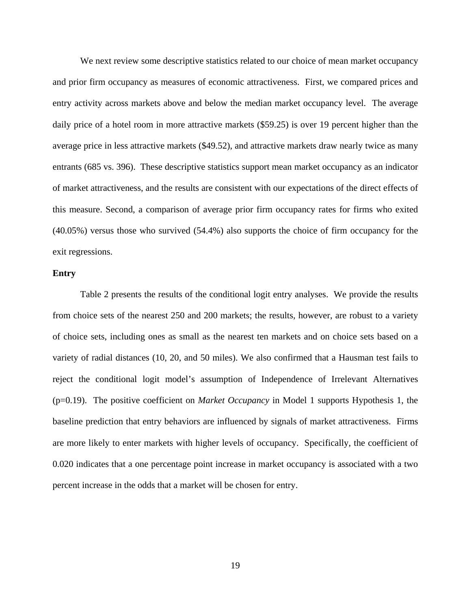We next review some descriptive statistics related to our choice of mean market occupancy and prior firm occupancy as measures of economic attractiveness. First, we compared prices and entry activity across markets above and below the median market occupancy level. The average daily price of a hotel room in more attractive markets (\$59.25) is over 19 percent higher than the average price in less attractive markets (\$49.52), and attractive markets draw nearly twice as many entrants (685 vs. 396). These descriptive statistics support mean market occupancy as an indicator of market attractiveness, and the results are consistent with our expectations of the direct effects of this measure. Second, a comparison of average prior firm occupancy rates for firms who exited (40.05%) versus those who survived (54.4%) also supports the choice of firm occupancy for the exit regressions.

#### **Entry**

 Table 2 presents the results of the conditional logit entry analyses. We provide the results from choice sets of the nearest 250 and 200 markets; the results, however, are robust to a variety of choice sets, including ones as small as the nearest ten markets and on choice sets based on a variety of radial distances (10, 20, and 50 miles). We also confirmed that a Hausman test fails to reject the conditional logit model's assumption of Independence of Irrelevant Alternatives (p=0.19). The positive coefficient on *Market Occupancy* in Model 1 supports Hypothesis 1, the baseline prediction that entry behaviors are influenced by signals of market attractiveness. Firms are more likely to enter markets with higher levels of occupancy. Specifically, the coefficient of 0.020 indicates that a one percentage point increase in market occupancy is associated with a two percent increase in the odds that a market will be chosen for entry.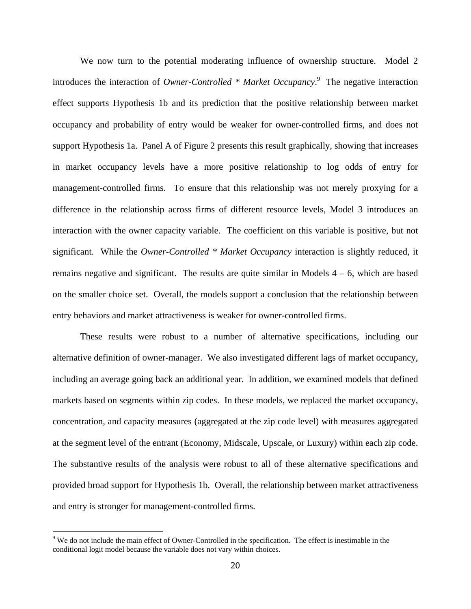We now turn to the potential moderating influence of ownership structure. Model 2 introduces the interaction of *Owner-Controlled \* Market Occupancy*. 9 The negative interaction effect supports Hypothesis 1b and its prediction that the positive relationship between market occupancy and probability of entry would be weaker for owner-controlled firms, and does not support Hypothesis 1a. Panel A of Figure 2 presents this result graphically, showing that increases in market occupancy levels have a more positive relationship to log odds of entry for management-controlled firms. To ensure that this relationship was not merely proxying for a difference in the relationship across firms of different resource levels, Model 3 introduces an interaction with the owner capacity variable. The coefficient on this variable is positive, but not significant. While the *Owner-Controlled \* Market Occupancy* interaction is slightly reduced, it remains negative and significant. The results are quite similar in Models  $4 - 6$ , which are based on the smaller choice set. Overall, the models support a conclusion that the relationship between entry behaviors and market attractiveness is weaker for owner-controlled firms.

These results were robust to a number of alternative specifications, including our alternative definition of owner-manager. We also investigated different lags of market occupancy, including an average going back an additional year. In addition, we examined models that defined markets based on segments within zip codes. In these models, we replaced the market occupancy, concentration, and capacity measures (aggregated at the zip code level) with measures aggregated at the segment level of the entrant (Economy, Midscale, Upscale, or Luxury) within each zip code. The substantive results of the analysis were robust to all of these alternative specifications and provided broad support for Hypothesis 1b. Overall, the relationship between market attractiveness and entry is stronger for management-controlled firms.

 $\overline{a}$ 

<sup>&</sup>lt;sup>9</sup> We do not include the main effect of Owner-Controlled in the specification. The effect is inestimable in the conditional logit model because the variable does not vary within choices.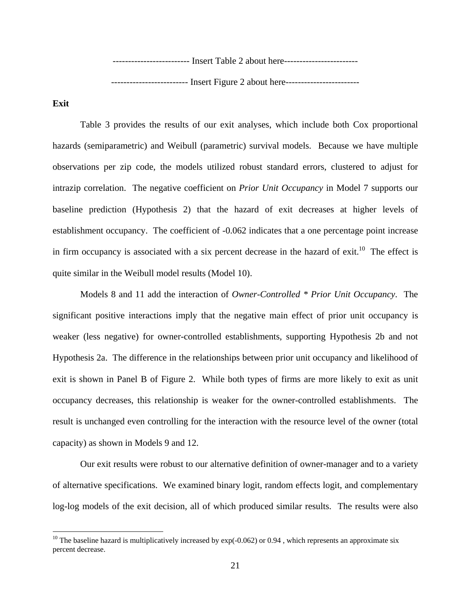-------------------------- Insert Table 2 about here------------------------------------------------------ Insert Figure 2 about here--------------------------

**Exit** 

 $\overline{a}$ 

 Table 3 provides the results of our exit analyses, which include both Cox proportional hazards (semiparametric) and Weibull (parametric) survival models. Because we have multiple observations per zip code, the models utilized robust standard errors, clustered to adjust for intrazip correlation. The negative coefficient on *Prior Unit Occupancy* in Model 7 supports our baseline prediction (Hypothesis 2) that the hazard of exit decreases at higher levels of establishment occupancy. The coefficient of -0.062 indicates that a one percentage point increase in firm occupancy is associated with a six percent decrease in the hazard of exit.<sup>10</sup> The effect is quite similar in the Weibull model results (Model 10).

Models 8 and 11 add the interaction of *Owner-Controlled \* Prior Unit Occupancy*. The significant positive interactions imply that the negative main effect of prior unit occupancy is weaker (less negative) for owner-controlled establishments, supporting Hypothesis 2b and not Hypothesis 2a. The difference in the relationships between prior unit occupancy and likelihood of exit is shown in Panel B of Figure 2. While both types of firms are more likely to exit as unit occupancy decreases, this relationship is weaker for the owner-controlled establishments. The result is unchanged even controlling for the interaction with the resource level of the owner (total capacity) as shown in Models 9 and 12.

Our exit results were robust to our alternative definition of owner-manager and to a variety of alternative specifications. We examined binary logit, random effects logit, and complementary log-log models of the exit decision, all of which produced similar results. The results were also

<sup>&</sup>lt;sup>10</sup> The baseline hazard is multiplicatively increased by  $exp(-0.062)$  or 0.94, which represents an approximate six percent decrease.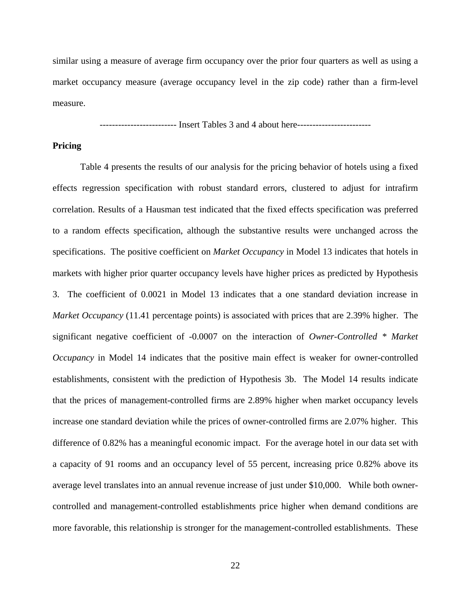similar using a measure of average firm occupancy over the prior four quarters as well as using a market occupancy measure (average occupancy level in the zip code) rather than a firm-level measure.

------------------------- Insert Tables 3 and 4 about here------------------------

#### **Pricing**

 Table 4 presents the results of our analysis for the pricing behavior of hotels using a fixed effects regression specification with robust standard errors, clustered to adjust for intrafirm correlation. Results of a Hausman test indicated that the fixed effects specification was preferred to a random effects specification, although the substantive results were unchanged across the specifications. The positive coefficient on *Market Occupancy* in Model 13 indicates that hotels in markets with higher prior quarter occupancy levels have higher prices as predicted by Hypothesis 3. The coefficient of 0.0021 in Model 13 indicates that a one standard deviation increase in *Market Occupancy* (11.41 percentage points) is associated with prices that are 2.39% higher. The significant negative coefficient of -0.0007 on the interaction of *Owner-Controlled \* Market Occupancy* in Model 14 indicates that the positive main effect is weaker for owner-controlled establishments, consistent with the prediction of Hypothesis 3b. The Model 14 results indicate that the prices of management-controlled firms are 2.89% higher when market occupancy levels increase one standard deviation while the prices of owner-controlled firms are 2.07% higher. This difference of 0.82% has a meaningful economic impact. For the average hotel in our data set with a capacity of 91 rooms and an occupancy level of 55 percent, increasing price 0.82% above its average level translates into an annual revenue increase of just under \$10,000. While both ownercontrolled and management-controlled establishments price higher when demand conditions are more favorable, this relationship is stronger for the management-controlled establishments. These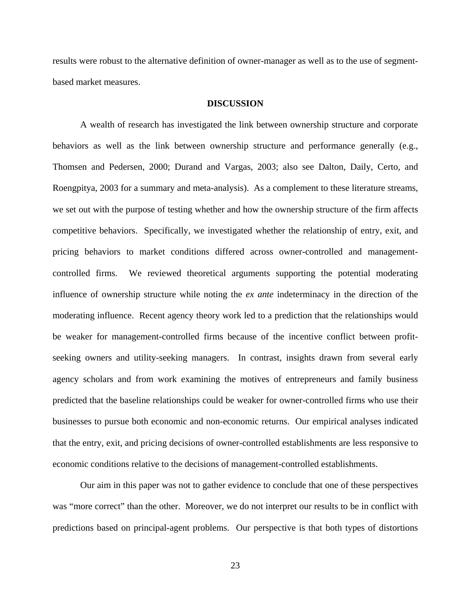results were robust to the alternative definition of owner-manager as well as to the use of segmentbased market measures.

#### **DISCUSSION**

A wealth of research has investigated the link between ownership structure and corporate behaviors as well as the link between ownership structure and performance generally (e.g., Thomsen and Pedersen, 2000; Durand and Vargas, 2003; also see Dalton, Daily, Certo, and Roengpitya, 2003 for a summary and meta-analysis). As a complement to these literature streams, we set out with the purpose of testing whether and how the ownership structure of the firm affects competitive behaviors. Specifically, we investigated whether the relationship of entry, exit, and pricing behaviors to market conditions differed across owner-controlled and managementcontrolled firms. We reviewed theoretical arguments supporting the potential moderating influence of ownership structure while noting the *ex ante* indeterminacy in the direction of the moderating influence. Recent agency theory work led to a prediction that the relationships would be weaker for management-controlled firms because of the incentive conflict between profitseeking owners and utility-seeking managers. In contrast, insights drawn from several early agency scholars and from work examining the motives of entrepreneurs and family business predicted that the baseline relationships could be weaker for owner-controlled firms who use their businesses to pursue both economic and non-economic returns. Our empirical analyses indicated that the entry, exit, and pricing decisions of owner-controlled establishments are less responsive to economic conditions relative to the decisions of management-controlled establishments.

Our aim in this paper was not to gather evidence to conclude that one of these perspectives was "more correct" than the other. Moreover, we do not interpret our results to be in conflict with predictions based on principal-agent problems. Our perspective is that both types of distortions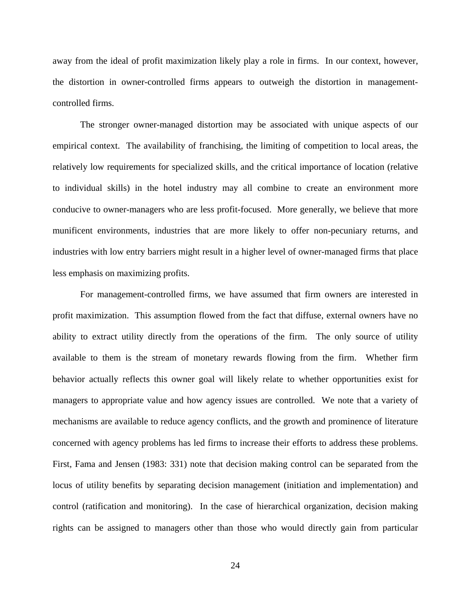away from the ideal of profit maximization likely play a role in firms. In our context, however, the distortion in owner-controlled firms appears to outweigh the distortion in managementcontrolled firms.

The stronger owner-managed distortion may be associated with unique aspects of our empirical context. The availability of franchising, the limiting of competition to local areas, the relatively low requirements for specialized skills, and the critical importance of location (relative to individual skills) in the hotel industry may all combine to create an environment more conducive to owner-managers who are less profit-focused. More generally, we believe that more munificent environments, industries that are more likely to offer non-pecuniary returns, and industries with low entry barriers might result in a higher level of owner-managed firms that place less emphasis on maximizing profits.

For management-controlled firms, we have assumed that firm owners are interested in profit maximization. This assumption flowed from the fact that diffuse, external owners have no ability to extract utility directly from the operations of the firm. The only source of utility available to them is the stream of monetary rewards flowing from the firm. Whether firm behavior actually reflects this owner goal will likely relate to whether opportunities exist for managers to appropriate value and how agency issues are controlled. We note that a variety of mechanisms are available to reduce agency conflicts, and the growth and prominence of literature concerned with agency problems has led firms to increase their efforts to address these problems. First, Fama and Jensen (1983: 331) note that decision making control can be separated from the locus of utility benefits by separating decision management (initiation and implementation) and control (ratification and monitoring). In the case of hierarchical organization, decision making rights can be assigned to managers other than those who would directly gain from particular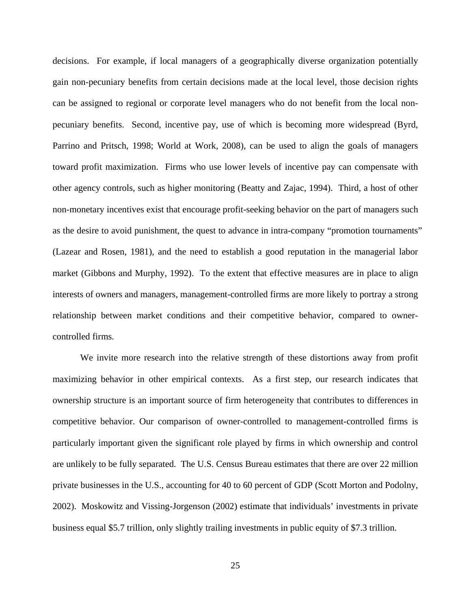decisions. For example, if local managers of a geographically diverse organization potentially gain non-pecuniary benefits from certain decisions made at the local level, those decision rights can be assigned to regional or corporate level managers who do not benefit from the local nonpecuniary benefits. Second, incentive pay, use of which is becoming more widespread (Byrd, Parrino and Pritsch, 1998; World at Work, 2008), can be used to align the goals of managers toward profit maximization. Firms who use lower levels of incentive pay can compensate with other agency controls, such as higher monitoring (Beatty and Zajac, 1994). Third, a host of other non-monetary incentives exist that encourage profit-seeking behavior on the part of managers such as the desire to avoid punishment, the quest to advance in intra-company "promotion tournaments" (Lazear and Rosen, 1981), and the need to establish a good reputation in the managerial labor market (Gibbons and Murphy, 1992). To the extent that effective measures are in place to align interests of owners and managers, management-controlled firms are more likely to portray a strong relationship between market conditions and their competitive behavior, compared to ownercontrolled firms.

We invite more research into the relative strength of these distortions away from profit maximizing behavior in other empirical contexts. As a first step, our research indicates that ownership structure is an important source of firm heterogeneity that contributes to differences in competitive behavior. Our comparison of owner-controlled to management-controlled firms is particularly important given the significant role played by firms in which ownership and control are unlikely to be fully separated. The U.S. Census Bureau estimates that there are over 22 million private businesses in the U.S., accounting for 40 to 60 percent of GDP (Scott Morton and Podolny, 2002). Moskowitz and Vissing-Jorgenson (2002) estimate that individuals' investments in private business equal \$5.7 trillion, only slightly trailing investments in public equity of \$7.3 trillion.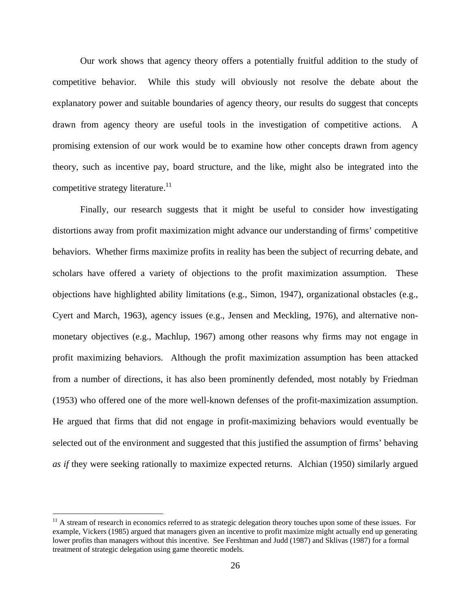Our work shows that agency theory offers a potentially fruitful addition to the study of competitive behavior. While this study will obviously not resolve the debate about the explanatory power and suitable boundaries of agency theory, our results do suggest that concepts drawn from agency theory are useful tools in the investigation of competitive actions. A promising extension of our work would be to examine how other concepts drawn from agency theory, such as incentive pay, board structure, and the like, might also be integrated into the competitive strategy literature.<sup>11</sup>

Finally, our research suggests that it might be useful to consider how investigating distortions away from profit maximization might advance our understanding of firms' competitive behaviors. Whether firms maximize profits in reality has been the subject of recurring debate, and scholars have offered a variety of objections to the profit maximization assumption. These objections have highlighted ability limitations (e.g., Simon, 1947), organizational obstacles (e.g., Cyert and March, 1963), agency issues (e.g., Jensen and Meckling, 1976), and alternative nonmonetary objectives (e.g., Machlup, 1967) among other reasons why firms may not engage in profit maximizing behaviors. Although the profit maximization assumption has been attacked from a number of directions, it has also been prominently defended, most notably by Friedman (1953) who offered one of the more well-known defenses of the profit-maximization assumption. He argued that firms that did not engage in profit-maximizing behaviors would eventually be selected out of the environment and suggested that this justified the assumption of firms' behaving *as if* they were seeking rationally to maximize expected returns. Alchian (1950) similarly argued

 $\overline{a}$ 

 $<sup>11</sup>$  A stream of research in economics referred to as strategic delegation theory touches upon some of these issues. For</sup> example, Vickers (1985) argued that managers given an incentive to profit maximize might actually end up generating lower profits than managers without this incentive. See Fershtman and Judd (1987) and Sklivas (1987) for a formal treatment of strategic delegation using game theoretic models.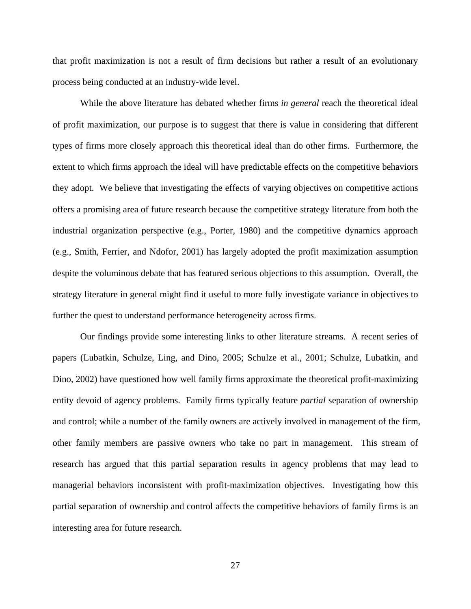that profit maximization is not a result of firm decisions but rather a result of an evolutionary process being conducted at an industry-wide level.

While the above literature has debated whether firms *in general* reach the theoretical ideal of profit maximization, our purpose is to suggest that there is value in considering that different types of firms more closely approach this theoretical ideal than do other firms. Furthermore, the extent to which firms approach the ideal will have predictable effects on the competitive behaviors they adopt. We believe that investigating the effects of varying objectives on competitive actions offers a promising area of future research because the competitive strategy literature from both the industrial organization perspective (e.g., Porter, 1980) and the competitive dynamics approach (e.g., Smith, Ferrier, and Ndofor, 2001) has largely adopted the profit maximization assumption despite the voluminous debate that has featured serious objections to this assumption. Overall, the strategy literature in general might find it useful to more fully investigate variance in objectives to further the quest to understand performance heterogeneity across firms.

Our findings provide some interesting links to other literature streams. A recent series of papers (Lubatkin, Schulze, Ling, and Dino, 2005; Schulze et al., 2001; Schulze, Lubatkin, and Dino, 2002) have questioned how well family firms approximate the theoretical profit-maximizing entity devoid of agency problems. Family firms typically feature *partial* separation of ownership and control; while a number of the family owners are actively involved in management of the firm, other family members are passive owners who take no part in management. This stream of research has argued that this partial separation results in agency problems that may lead to managerial behaviors inconsistent with profit-maximization objectives. Investigating how this partial separation of ownership and control affects the competitive behaviors of family firms is an interesting area for future research.

27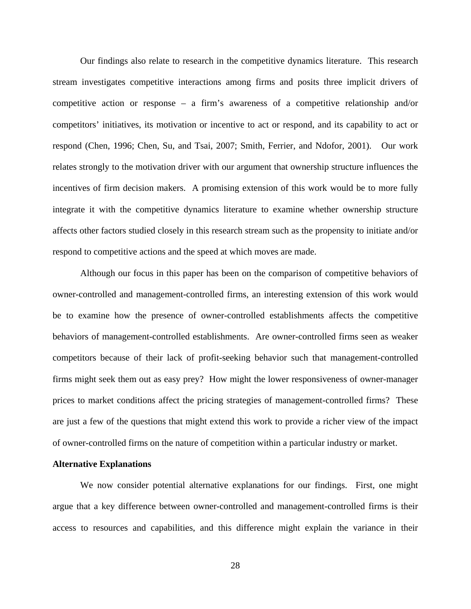Our findings also relate to research in the competitive dynamics literature. This research stream investigates competitive interactions among firms and posits three implicit drivers of competitive action or response – a firm's awareness of a competitive relationship and/or competitors' initiatives, its motivation or incentive to act or respond, and its capability to act or respond (Chen, 1996; Chen, Su, and Tsai, 2007; Smith, Ferrier, and Ndofor, 2001). Our work relates strongly to the motivation driver with our argument that ownership structure influences the incentives of firm decision makers. A promising extension of this work would be to more fully integrate it with the competitive dynamics literature to examine whether ownership structure affects other factors studied closely in this research stream such as the propensity to initiate and/or respond to competitive actions and the speed at which moves are made.

 Although our focus in this paper has been on the comparison of competitive behaviors of owner-controlled and management-controlled firms, an interesting extension of this work would be to examine how the presence of owner-controlled establishments affects the competitive behaviors of management-controlled establishments. Are owner-controlled firms seen as weaker competitors because of their lack of profit-seeking behavior such that management-controlled firms might seek them out as easy prey? How might the lower responsiveness of owner-manager prices to market conditions affect the pricing strategies of management-controlled firms? These are just a few of the questions that might extend this work to provide a richer view of the impact of owner-controlled firms on the nature of competition within a particular industry or market.

#### **Alternative Explanations**

We now consider potential alternative explanations for our findings. First, one might argue that a key difference between owner-controlled and management-controlled firms is their access to resources and capabilities, and this difference might explain the variance in their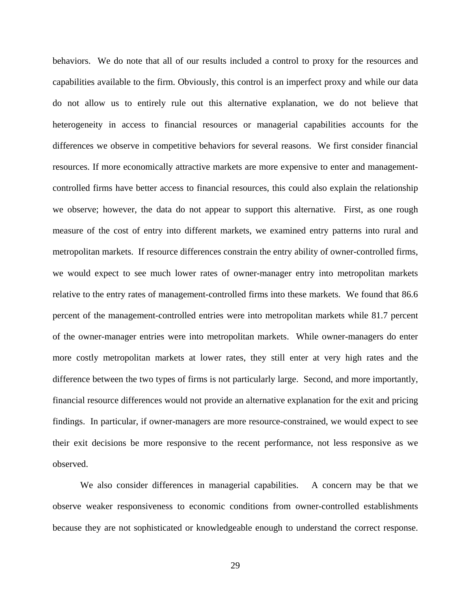behaviors. We do note that all of our results included a control to proxy for the resources and capabilities available to the firm. Obviously, this control is an imperfect proxy and while our data do not allow us to entirely rule out this alternative explanation, we do not believe that heterogeneity in access to financial resources or managerial capabilities accounts for the differences we observe in competitive behaviors for several reasons. We first consider financial resources. If more economically attractive markets are more expensive to enter and managementcontrolled firms have better access to financial resources, this could also explain the relationship we observe; however, the data do not appear to support this alternative. First, as one rough measure of the cost of entry into different markets, we examined entry patterns into rural and metropolitan markets. If resource differences constrain the entry ability of owner-controlled firms, we would expect to see much lower rates of owner-manager entry into metropolitan markets relative to the entry rates of management-controlled firms into these markets. We found that 86.6 percent of the management-controlled entries were into metropolitan markets while 81.7 percent of the owner-manager entries were into metropolitan markets. While owner-managers do enter more costly metropolitan markets at lower rates, they still enter at very high rates and the difference between the two types of firms is not particularly large. Second, and more importantly, financial resource differences would not provide an alternative explanation for the exit and pricing findings. In particular, if owner-managers are more resource-constrained, we would expect to see their exit decisions be more responsive to the recent performance, not less responsive as we observed.

 We also consider differences in managerial capabilities. A concern may be that we observe weaker responsiveness to economic conditions from owner-controlled establishments because they are not sophisticated or knowledgeable enough to understand the correct response.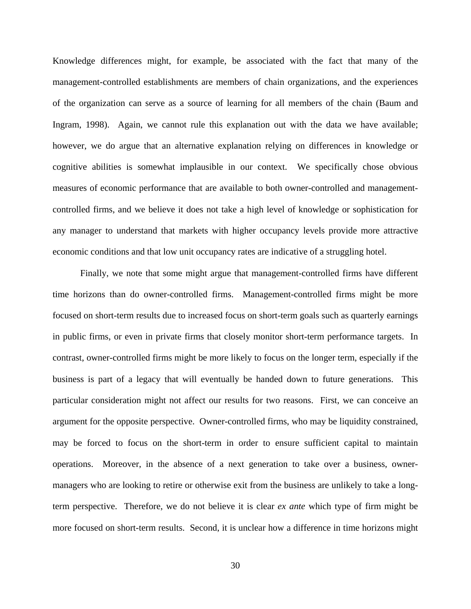Knowledge differences might, for example, be associated with the fact that many of the management-controlled establishments are members of chain organizations, and the experiences of the organization can serve as a source of learning for all members of the chain (Baum and Ingram, 1998). Again, we cannot rule this explanation out with the data we have available; however, we do argue that an alternative explanation relying on differences in knowledge or cognitive abilities is somewhat implausible in our context. We specifically chose obvious measures of economic performance that are available to both owner-controlled and managementcontrolled firms, and we believe it does not take a high level of knowledge or sophistication for any manager to understand that markets with higher occupancy levels provide more attractive economic conditions and that low unit occupancy rates are indicative of a struggling hotel.

 Finally, we note that some might argue that management-controlled firms have different time horizons than do owner-controlled firms. Management-controlled firms might be more focused on short-term results due to increased focus on short-term goals such as quarterly earnings in public firms, or even in private firms that closely monitor short-term performance targets. In contrast, owner-controlled firms might be more likely to focus on the longer term, especially if the business is part of a legacy that will eventually be handed down to future generations. This particular consideration might not affect our results for two reasons. First, we can conceive an argument for the opposite perspective. Owner-controlled firms, who may be liquidity constrained, may be forced to focus on the short-term in order to ensure sufficient capital to maintain operations. Moreover, in the absence of a next generation to take over a business, ownermanagers who are looking to retire or otherwise exit from the business are unlikely to take a longterm perspective. Therefore, we do not believe it is clear *ex ante* which type of firm might be more focused on short-term results. Second, it is unclear how a difference in time horizons might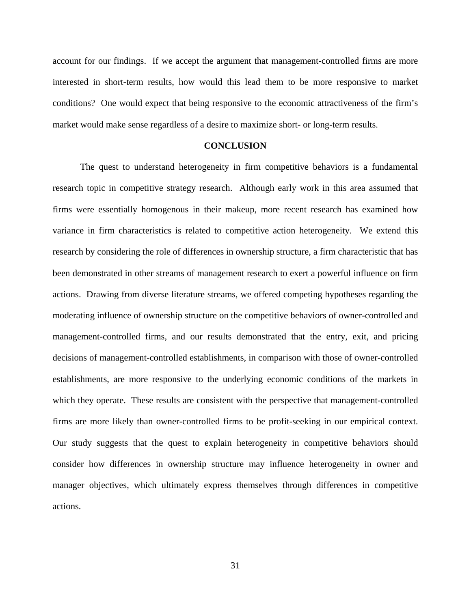account for our findings. If we accept the argument that management-controlled firms are more interested in short-term results, how would this lead them to be more responsive to market conditions? One would expect that being responsive to the economic attractiveness of the firm's market would make sense regardless of a desire to maximize short- or long-term results.

#### **CONCLUSION**

The quest to understand heterogeneity in firm competitive behaviors is a fundamental research topic in competitive strategy research. Although early work in this area assumed that firms were essentially homogenous in their makeup, more recent research has examined how variance in firm characteristics is related to competitive action heterogeneity. We extend this research by considering the role of differences in ownership structure, a firm characteristic that has been demonstrated in other streams of management research to exert a powerful influence on firm actions. Drawing from diverse literature streams, we offered competing hypotheses regarding the moderating influence of ownership structure on the competitive behaviors of owner-controlled and management-controlled firms, and our results demonstrated that the entry, exit, and pricing decisions of management-controlled establishments, in comparison with those of owner-controlled establishments, are more responsive to the underlying economic conditions of the markets in which they operate. These results are consistent with the perspective that management-controlled firms are more likely than owner-controlled firms to be profit-seeking in our empirical context. Our study suggests that the quest to explain heterogeneity in competitive behaviors should consider how differences in ownership structure may influence heterogeneity in owner and manager objectives, which ultimately express themselves through differences in competitive actions.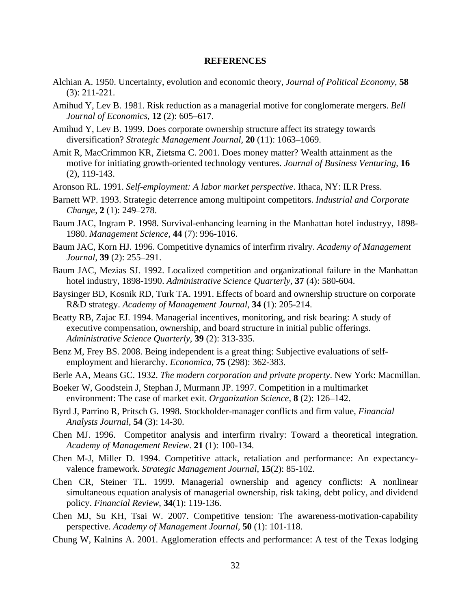#### **REFERENCES**

- Alchian A. 1950. Uncertainty, evolution and economic theory, *Journal of Political Economy*, **58** (3): 211-221.
- Amihud Y, Lev B. 1981. Risk reduction as a managerial motive for conglomerate mergers. *Bell Journal of Economics,* **12** (2): 605–617.
- Amihud Y, Lev B. 1999. Does corporate ownership structure affect its strategy towards diversification? *Strategic Management Journal,* **20** (11): 1063–1069.
- Amit R, MacCrimmon KR, Zietsma C. 2001. Does money matter? Wealth attainment as the motive for initiating growth-oriented technology ventures. *Journal of Business Venturing*, **16** (2), 119-143.
- Aronson RL. 1991. *Self-employment: A labor market perspective*. Ithaca, NY: ILR Press.
- Barnett WP. 1993. Strategic deterrence among multipoint competitors. *Industrial and Corporate Change*, **2** (1): 249–278.
- Baum JAC, Ingram P. 1998. Survival-enhancing learning in the Manhattan hotel industryy, 1898- 1980. *Management Science,* **44** (7): 996-1016.
- Baum JAC, Korn HJ. 1996. Competitive dynamics of interfirm rivalry. *Academy of Management Journal*, **39** (2): 255–291.
- Baum JAC, Mezias SJ. 1992. Localized competition and organizational failure in the Manhattan hotel industry, 1898-1990. *Administrative Science Quarterly,* **37** (4): 580-604.
- Baysinger BD, Kosnik RD, Turk TA. 1991. Effects of board and ownership structure on corporate R&D strategy. *Academy of Management Journal*, **34** (1): 205-214.
- Beatty RB, Zajac EJ. 1994. Managerial incentives, monitoring, and risk bearing: A study of executive compensation, ownership, and board structure in initial public offerings. *Administrative Science Quarterly*, **39** (2): 313-335.
- Benz M, Frey BS. 2008. Being independent is a great thing: Subjective evaluations of selfemployment and hierarchy. *Economica,* **75** (298): 362-383.
- Berle AA, Means GC. 1932. *The modern corporation and private property*. New York: Macmillan.
- Boeker W, Goodstein J, Stephan J, Murmann JP. 1997. Competition in a multimarket environment: The case of market exit. *Organization Science*, **8** (2): 126–142.
- Byrd J, Parrino R, Pritsch G. 1998. Stockholder-manager conflicts and firm value, *Financial Analysts Journal*, **54** (3): 14-30.
- Chen MJ. 1996. Competitor analysis and interfirm rivalry: Toward a theoretical integration. *Academy of Management Review*. **21** (1): 100-134.
- Chen M-J, Miller D. 1994. Competitive attack, retaliation and performance: An expectancyvalence framework. *Strategic Management Journal*, **15**(2): 85-102.
- Chen CR, Steiner TL. 1999. Managerial ownership and agency conflicts: A nonlinear simultaneous equation analysis of managerial ownership, risk taking, debt policy, and dividend policy. *Financial Review*, **34**(1): 119-136.
- Chen MJ, Su KH, Tsai W. 2007. Competitive tension: The awareness-motivation-capability perspective. *Academy of Management Journal,* **50** (1): 101-118.
- Chung W, Kalnins A. 2001. Agglomeration effects and performance: A test of the Texas lodging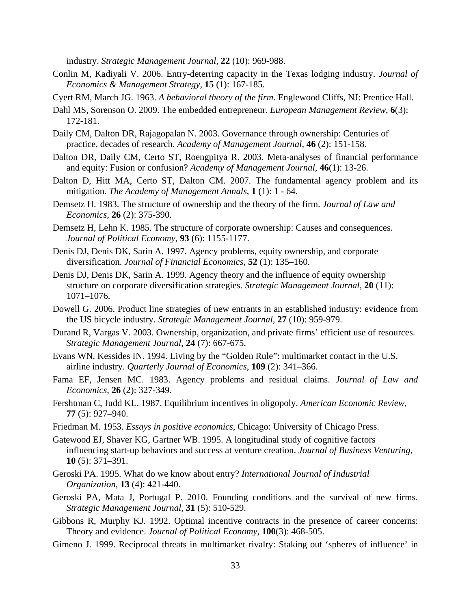industry. *Strategic Management Journal,* **22** (10): 969-988.

- Conlin M, Kadiyali V. 2006. Entry-deterring capacity in the Texas lodging industry. *Journal of Economics & Management Strategy,* **15** (1): 167-185.
- Cyert RM, March JG. 1963. *A behavioral theory of the firm*. Englewood Cliffs, NJ: Prentice Hall.
- Dahl MS, Sorenson O. 2009. The embedded entrepreneur. *European Management Review*, **6**(3): 172-181.
- Daily CM, Dalton DR, Rajagopalan N. 2003. Governance through ownership: Centuries of practice, decades of research. *Academy of Management Journal*, **46** (2): 151-158.
- Dalton DR, Daily CM, Certo ST, Roengpitya R. 2003. Meta-analyses of financial performance and equity: Fusion or confusion? *Academy of Management Journal*, **46**(1): 13-26.
- Dalton D, Hitt MA, Certo ST, Dalton CM. 2007. The fundamental agency problem and its mitigation. *The Academy of Management Annals*, **1** (1): 1 - 64.
- Demsetz H. 1983. The structure of ownership and the theory of the firm. *Journal of Law and Economics*, **26** (2): 375-390.
- Demsetz H, Lehn K. 1985. The structure of corporate ownership: Causes and consequences. *Journal of Political Economy*, **93** (6): 1155-1177.
- Denis DJ, Denis DK, Sarin A. 1997. Agency problems, equity ownership, and corporate diversification. *Journal of Financial Economics*, **52** (1): 135–160.
- Denis DJ, Denis DK, Sarin A. 1999. Agency theory and the influence of equity ownership structure on corporate diversification strategies. *Strategic Management Journal*, **20** (11): 1071–1076.
- Dowell G. 2006. Product line strategies of new entrants in an established industry: evidence from the US bicycle industry. *Strategic Management Journal,* **27** (10): 959-979.
- Durand R, Vargas V. 2003. Ownership, organization, and private firms' efficient use of resources. *Strategic Management Journal*, **24** (7): 667-675.
- Evans WN, Kessides IN. 1994. Living by the "Golden Rule": multimarket contact in the U.S. airline industry. *Quarterly Journal of Economics*, **109** (2): 341–366.
- Fama EF, Jensen MC. 1983. Agency problems and residual claims. *Journal of Law and Economics*, **26** (2): 327-349.
- Fershtman C, Judd KL. 1987. Equilibrium incentives in oligopoly. *American Economic Review*, **77** (5): 927–940.
- Friedman M. 1953. *Essays in positive economics*, Chicago: University of Chicago Press.
- Gatewood EJ, Shaver KG, Gartner WB. 1995. A longitudinal study of cognitive factors influencing start-up behaviors and success at venture creation. *Journal of Business Venturing*, **10** (5): 371–391.
- Geroski PA. 1995. What do we know about entry? *International Journal of Industrial Organization,* **13** (4): 421-440.
- Geroski PA, Mata J, Portugal P. 2010. Founding conditions and the survival of new firms. *Strategic Management Journal,* **31** (5): 510-529.
- Gibbons R, Murphy KJ. 1992. Optimal incentive contracts in the presence of career concerns: Theory and evidence. *Journal of Political Economy*, **100**(3): 468-505.
- Gimeno J. 1999. Reciprocal threats in multimarket rivalry: Staking out 'spheres of influence' in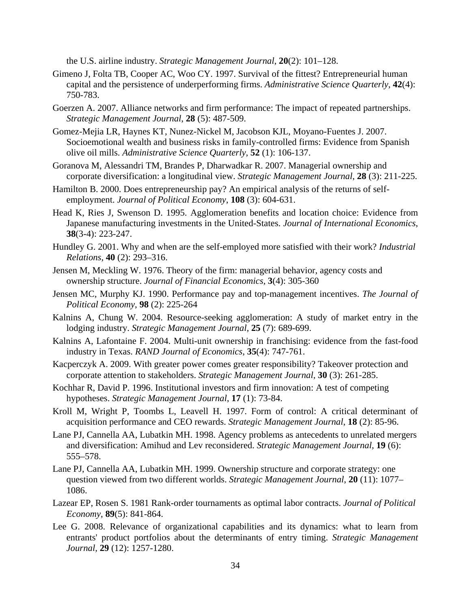the U.S. airline industry. *Strategic Management Journal*, **20**(2): 101–128.

- Gimeno J, Folta TB, Cooper AC, Woo CY. 1997. Survival of the fittest? Entrepreneurial human capital and the persistence of underperforming firms. *Administrative Science Quarterly*, **42**(4): 750-783.
- Goerzen A. 2007. Alliance networks and firm performance: The impact of repeated partnerships. *Strategic Management Journal*, **28** (5): 487-509.
- Gomez-Mejia LR, Haynes KT, Nunez-Nickel M, Jacobson KJL, Moyano-Fuentes J. 2007. Socioemotional wealth and business risks in family-controlled firms: Evidence from Spanish olive oil mills. *Administrative Science Quarterly*, **52** (1): 106-137.
- Goranova M, Alessandri TM, Brandes P, Dharwadkar R. 2007. Managerial ownership and corporate diversification: a longitudinal view. *Strategic Management Journal*, **28** (3): 211-225.
- Hamilton B. 2000. Does entrepreneurship pay? An empirical analysis of the returns of selfemployment. *Journal of Political Economy*, **108** (3): 604-631.
- Head K, Ries J, Swenson D. 1995. Agglomeration benefits and location choice: Evidence from Japanese manufacturing investments in the United-States. *Journal of International Economics*, **38**(3-4): 223-247.
- Hundley G. 2001. Why and when are the self-employed more satisfied with their work? *Industrial Relations*, **40** (2): 293–316.
- Jensen M, Meckling W. 1976. Theory of the firm: managerial behavior, agency costs and ownership structure. *Journal of Financial Economics,* **3**(4): 305-360
- Jensen MC, Murphy KJ. 1990. Performance pay and top-management incentives. *The Journal of Political Economy*, **98** (2): 225-264
- Kalnins A, Chung W. 2004. Resource-seeking agglomeration: A study of market entry in the lodging industry. *Strategic Management Journal,* **25** (7): 689-699.
- Kalnins A, Lafontaine F. 2004. Multi-unit ownership in franchising: evidence from the fast-food industry in Texas. *RAND Journal of Economics*, **35**(4): 747-761.
- Kacperczyk A. 2009. With greater power comes greater responsibility? Takeover protection and corporate attention to stakeholders. *Strategic Management Journal*, **30** (3): 261-285.
- Kochhar R, David P. 1996. Institutional investors and firm innovation: A test of competing hypotheses. *Strategic Management Journal*, **17** (1): 73-84.
- Kroll M, Wright P, Toombs L, Leavell H. 1997. Form of control: A critical determinant of acquisition performance and CEO rewards. *Strategic Management Journal*, **18** (2): 85-96.
- Lane PJ, Cannella AA, Lubatkin MH. 1998. Agency problems as antecedents to unrelated mergers and diversification: Amihud and Lev reconsidered. *Strategic Management Journal,* **19** (6): 555–578.
- Lane PJ, Cannella AA, Lubatkin MH. 1999. Ownership structure and corporate strategy: one question viewed from two different worlds. *Strategic Management Journal*, **20** (11): 1077– 1086.
- Lazear EP, Rosen S. 1981 Rank-order tournaments as optimal labor contracts. *Journal of Political Economy*, **89**(5): 841-864.
- Lee G. 2008. Relevance of organizational capabilities and its dynamics: what to learn from entrants' product portfolios about the determinants of entry timing. *Strategic Management Journal,* **29** (12): 1257-1280.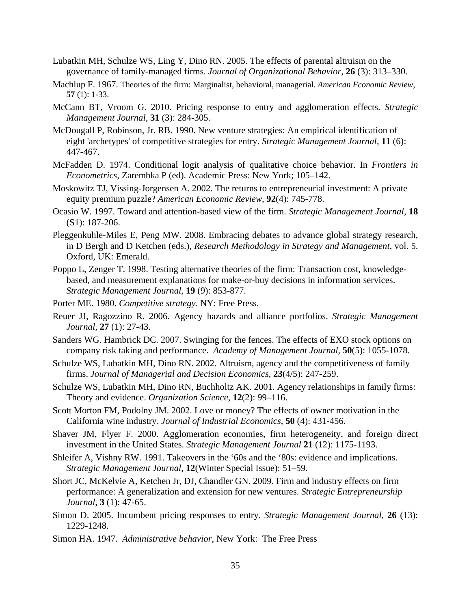- Lubatkin MH, Schulze WS, Ling Y, Dino RN. 2005. The effects of parental altruism on the governance of family-managed firms. *Journal of Organizational Behavior*, **26** (3): 313–330.
- Machlup F. 1967. Theories of the firm: Marginalist, behavioral, managerial. *American Economic Review*, **57** (1): 1-33.
- McCann BT, Vroom G. 2010. Pricing response to entry and agglomeration effects. *Strategic Management Journal,* **31** (3): 284-305.
- McDougall P, Robinson, Jr. RB. 1990. New venture strategies: An empirical identification of eight 'archetypes' of competitive strategies for entry. *Strategic Management Journal*, **11** (6): 447-467.
- McFadden D. 1974. Conditional logit analysis of qualitative choice behavior. In *Frontiers in Econometrics*, Zarembka P (ed). Academic Press: New York; 105–142.
- Moskowitz TJ, Vissing-Jorgensen A. 2002. The returns to entrepreneurial investment: A private equity premium puzzle? *American Economic Review*, **92**(4): 745-778.
- Ocasio W. 1997. Toward and attention-based view of the firm. *Strategic Management Journal*, **18** (S1): 187-206.
- Pleggenkuhle-Miles E, Peng MW. 2008. Embracing debates to advance global strategy research, in D Bergh and D Ketchen (eds.), *Research Methodology in Strategy and Management*, vol. 5. Oxford, UK: Emerald.
- Poppo L, Zenger T. 1998. Testing alternative theories of the firm: Transaction cost, knowledgebased, and measurement explanations for make-or-buy decisions in information services. *Strategic Management Journal*, **19** (9): 853-877.
- Porter ME. 1980. *Competitive strategy*. NY: Free Press.
- Reuer JJ, Ragozzino R. 2006. Agency hazards and alliance portfolios. *Strategic Management Journal,* **27** (1): 27-43.
- Sanders WG. Hambrick DC. 2007. Swinging for the fences. The effects of EXO stock options on company risk taking and performance. *Academy of Management Journal*, **50**(5): 1055-1078.
- Schulze WS, Lubatkin MH, Dino RN. 2002. Altruism, agency and the competitiveness of family firms. *Journal of Managerial and Decision Economics*, **23**(4/5): 247-259.
- Schulze WS, Lubatkin MH, Dino RN, Buchholtz AK. 2001. Agency relationships in family firms: Theory and evidence. *Organization Science*, **12**(2): 99–116.
- Scott Morton FM, Podolny JM. 2002. Love or money? The effects of owner motivation in the California wine industry. *Journal of Industrial Economics*, **50** (4): 431-456.
- Shaver JM, Flyer F. 2000. Agglomeration economies, firm heterogeneity, and foreign direct investment in the United States. *Strategic Management Journal* **21** (12): 1175-1193.
- Shleifer A, Vishny RW. 1991. Takeovers in the '60s and the '80s: evidence and implications. *Strategic Management Journal*, **12**(Winter Special Issue): 51–59.
- Short JC, McKelvie A, Ketchen Jr, DJ, Chandler GN. 2009. Firm and industry effects on firm performance: A generalization and extension for new ventures. *Strategic Entrepreneurship Journal*, **3** (1): 47-65.
- Simon D. 2005. Incumbent pricing responses to entry. *Strategic Management Journal,* **26** (13): 1229-1248.
- Simon HA. 1947. *Administrative behavior*, New York: The Free Press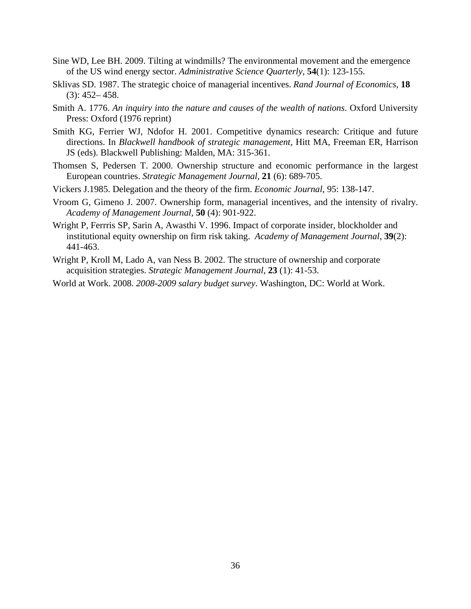- Sine WD, Lee BH. 2009. Tilting at windmills? The environmental movement and the emergence of the US wind energy sector. *Administrative Science Quarterly*, **54**(1): 123-155.
- Sklivas SD. 1987. The strategic choice of managerial incentives. *Rand Journal of Economics*, **18**  $(3): 452 - 458.$
- Smith A. 1776. *An inquiry into the nature and causes of the wealth of nations*. Oxford University Press: Oxford (1976 reprint)
- Smith KG, Ferrier WJ, Ndofor H. 2001. Competitive dynamics research: Critique and future directions. In *Blackwell handbook of strategic management*, Hitt MA, Freeman ER, Harrison JS (eds). Blackwell Publishing: Malden, MA: 315-361.
- Thomsen S, Pedersen T. 2000. Ownership structure and economic performance in the largest European countries. *Strategic Management Journal*, **21** (6): 689-705.
- Vickers J.1985. Delegation and the theory of the firm. *Economic Journal*, 95: 138-147.
- Vroom G, Gimeno J. 2007. Ownership form, managerial incentives, and the intensity of rivalry. *Academy of Management Journal,* **50** (4): 901-922.
- Wright P, Ferrris SP, Sarin A, Awasthi V. 1996. Impact of corporate insider, blockholder and institutional equity ownership on firm risk taking. *Academy of Management Journal*, **39**(2): 441-463.
- Wright P, Kroll M, Lado A, van Ness B. 2002. The structure of ownership and corporate acquisition strategies. *Strategic Management Journal*, **23** (1): 41-53.
- World at Work. 2008. *2008-2009 salary budget survey*. Washington, DC: World at Work.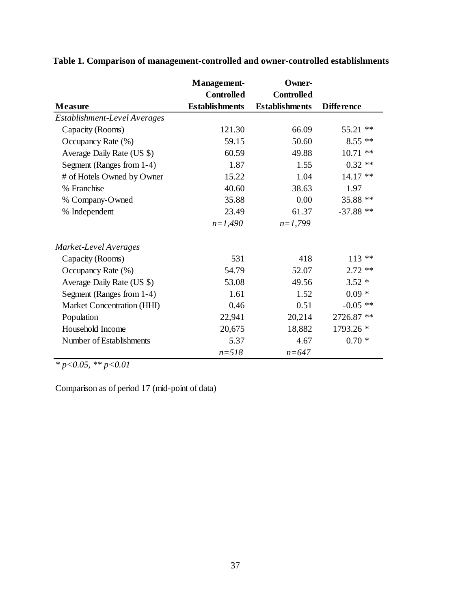|                              | <b>Management-</b>    | Owner-                |                   |
|------------------------------|-----------------------|-----------------------|-------------------|
|                              | <b>Controlled</b>     | <b>Controlled</b>     |                   |
| <b>Measure</b>               | <b>Establishments</b> | <b>Establishments</b> | <b>Difference</b> |
| Establishment-Level Averages |                       |                       |                   |
| Capacity (Rooms)             | 121.30                | 66.09                 | 55.21 **          |
| Occupancy Rate (%)           | 59.15                 | 50.60                 | $8.55**$          |
| Average Daily Rate (US \$)   | 60.59                 | 49.88                 | $10.71$ **        |
| Segment (Ranges from 1-4)    | 1.87                  | 1.55                  | $0.32**$          |
| # of Hotels Owned by Owner   | 15.22                 | 1.04                  | $14.17**$         |
| % Franchise                  | 40.60                 | 38.63                 | 1.97              |
| % Company-Owned              | 35.88                 | 0.00                  | 35.88 **          |
| % Independent                | 23.49                 | 61.37                 | $-37.88**$        |
|                              | $n=1,490$             | $n=1,799$             |                   |
| Market-Level Averages        |                       |                       |                   |
| Capacity (Rooms)             | 531                   | 418                   | $113**$           |
| Occupancy Rate (%)           | 54.79                 | 52.07                 | $2.72**$          |
| Average Daily Rate (US \$)   | 53.08                 | 49.56                 | $3.52*$           |
| Segment (Ranges from 1-4)    | 1.61                  | 1.52                  | $0.09 *$          |
| Market Concentration (HHI)   | 0.46                  | 0.51                  | $-0.05$ **        |
| Population                   | 22,941                | 20,214                | 2726.87 **        |
| Household Income             | 20,675                | 18,882                | 1793.26 *         |
| Number of Establishments     | 5.37                  | 4.67                  | $0.70*$           |
|                              | $n = 518$             | $n = 647$             |                   |

**Table 1. Comparison of management-controlled and owner-controlled establishments** 

*\* p<0.05, \*\* p<0.01*

Comparison as of period 17 (mid-point of data)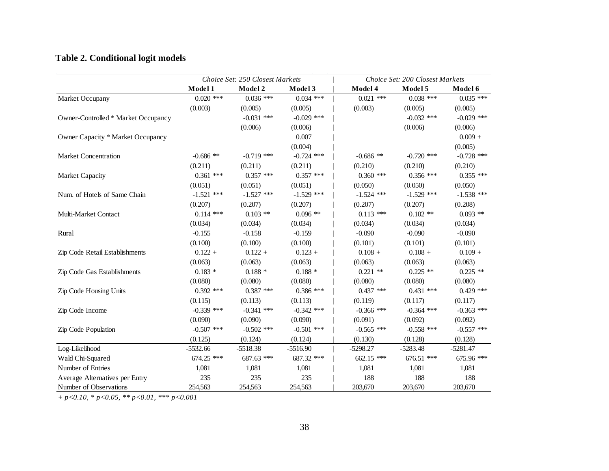## **Table 2. Conditional logit models**

|                                     | Choice Set: 250 Closest Markets |              |              | Choice Set: 200 Closest Markets |              |              |
|-------------------------------------|---------------------------------|--------------|--------------|---------------------------------|--------------|--------------|
|                                     | Model 1                         | Model 2      | Model 3      | Model 4                         | Model 5      | Model 6      |
| Market Occupany                     | $0.020$ ***                     | $0.036$ ***  | $0.034$ ***  | $0.021$ ***                     | $0.038$ ***  | $0.035$ ***  |
|                                     | (0.003)                         | (0.005)      | (0.005)      | (0.003)                         | (0.005)      | (0.005)      |
| Owner-Controlled * Market Occupancy |                                 | $-0.031$ *** | $-0.029$ *** |                                 | $-0.032$ *** | $-0.029$ *** |
|                                     |                                 | (0.006)      | (0.006)      |                                 | (0.006)      | (0.006)      |
| Owner Capacity * Market Occupancy   |                                 |              | 0.007        |                                 |              | $0.009 +$    |
|                                     |                                 |              | (0.004)      |                                 |              | (0.005)      |
| <b>Market Concentration</b>         | $-0.686$ **                     | $-0.719$ *** | $-0.724$ *** | $-0.686$ **                     | $-0.720$ *** | $-0.728$ *** |
|                                     | (0.211)                         | (0.211)      | (0.211)      | (0.210)                         | (0.210)      | (0.210)      |
| <b>Market Capacity</b>              | $0.361$ ***                     | $0.357$ ***  | $0.357$ ***  | $0.360$ ***                     | $0.356$ ***  | $0.355$ ***  |
|                                     | (0.051)                         | (0.051)      | (0.051)      | (0.050)                         | (0.050)      | (0.050)      |
| Num. of Hotels of Same Chain        | $-1.521$ ***                    | $-1.527$ *** | $-1.529$ *** | $-1.524$ ***                    | $-1.529$ *** | $-1.538$ *** |
|                                     | (0.207)                         | (0.207)      | (0.207)      | (0.207)                         | (0.207)      | (0.208)      |
| Multi-Market Contact                | $0.114$ ***                     | $0.103$ **   | $0.096$ **   | $0.113$ ***                     | $0.102**$    | $0.093$ **   |
|                                     | (0.034)                         | (0.034)      | (0.034)      | (0.034)                         | (0.034)      | (0.034)      |
| Rural                               | $-0.155$                        | $-0.158$     | $-0.159$     | $-0.090$                        | $-0.090$     | $-0.090$     |
|                                     | (0.100)                         | (0.100)      | (0.100)      | (0.101)                         | (0.101)      | (0.101)      |
| Zip Code Retail Establishments      | $0.122 +$                       | $0.122 +$    | $0.123 +$    | $0.108 +$                       | $0.108 +$    | $0.109 +$    |
|                                     | (0.063)                         | (0.063)      | (0.063)      | (0.063)                         | (0.063)      | (0.063)      |
| Zip Code Gas Establishments         | $0.183*$                        | $0.188*$     | $0.188*$     | $0.221$ **                      | $0.225$ **   | $0.225$ **   |
|                                     | (0.080)                         | (0.080)      | (0.080)      | (0.080)                         | (0.080)      | (0.080)      |
| Zip Code Housing Units              | $0.392$ ***                     | $0.387$ ***  | $0.386$ ***  | $0.437$ ***                     | $0.431$ ***  | $0.429$ ***  |
|                                     | (0.115)                         | (0.113)      | (0.113)      | (0.119)                         | (0.117)      | (0.117)      |
| Zip Code Income                     | $-0.339$ ***                    | $-0.341$ *** | $-0.342$ *** | $-0.366$ ***                    | $-0.364$ *** | $-0.363$ *** |
|                                     | (0.090)                         | (0.090)      | (0.090)      | (0.091)                         | (0.092)      | (0.092)      |
| Zip Code Population                 | $-0.507$ ***                    | $-0.502$ *** | $-0.501$ *** | $-0.565$ ***                    | $-0.558$ *** | $-0.557$ *** |
|                                     | (0.125)                         | (0.124)      | (0.124)      | (0.130)                         | (0.128)      | (0.128)      |
| Log-Likelihood                      | $-5532.66$                      | $-5518.38$   | $-5516.90$   | $-5298.27$                      | $-5283.48$   | $-5281.47$   |
| Wald Chi-Squared                    | 674.25 ***                      | 687.63 ***   | 687.32 ***   | 662.15 ***                      | 676.51 ***   | 675.96 ***   |
| Number of Entries                   | 1,081                           | 1,081        | 1,081        | 1,081                           | 1,081        | 1,081        |
| Average Alternatives per Entry      | 235                             | 235          | 235          | 188                             | 188          | 188          |
| Number of Observations              | 254,563                         | 254,563      | 254,563      | 203,670                         | 203,670      | 203,670      |

*+ p<0.10, \* p<0.05, \*\* p<0.01, \*\*\* p<0.001*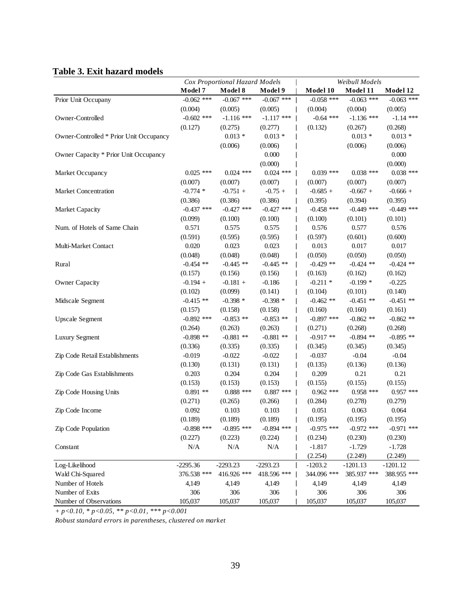### **Table 3. Exit hazard models**

|                                         | Cox Proportional Hazard Models |              | Weibull Models |              |              |              |
|-----------------------------------------|--------------------------------|--------------|----------------|--------------|--------------|--------------|
|                                         | Model 7                        | Model 8      | Model 9        | Model 10     | Model 11     | Model 12     |
| Prior Unit Occupany                     | $-0.062$ ***                   | $-0.067$ *** | $-0.067$ ***   | $-0.058$ *** | $-0.063$ *** | $-0.063$ *** |
|                                         | (0.004)                        | (0.005)      | (0.005)        | (0.004)      | (0.004)      | (0.005)      |
| Owner-Controlled                        | $-0.602$ ***                   | $-1.116$ *** | $-1.117$ ***   | $-0.64$ ***  | $-1.136$ *** | $-1.14$ ***  |
|                                         | (0.127)                        | (0.275)      | (0.277)        | (0.132)      | (0.267)      | (0.268)      |
| Owner-Controlled * Prior Unit Occupancy |                                | $0.013 *$    | $0.013 *$      |              | $0.013*$     | $0.013 *$    |
|                                         |                                | (0.006)      | (0.006)        |              | (0.006)      | (0.006)      |
| Owner Capacity * Prior Unit Occupancy   |                                |              | 0.000          |              |              | 0.000        |
|                                         |                                |              | (0.000)        |              |              | (0.000)      |
| Market Occupancy                        | $0.025$ ***                    | $0.024$ ***  | $0.024$ ***    | $0.039$ ***  | $0.038$ ***  | $0.038$ ***  |
|                                         | (0.007)                        | (0.007)      | (0.007)        | (0.007)      | (0.007)      | (0.007)      |
| Market Concentration                    | $-0.774*$                      | $-0.751 +$   | $-0.75 +$      | $-0.685 +$   | $-0.667 +$   | $-0.666 +$   |
|                                         | (0.386)                        | (0.386)      | (0.386)        | (0.395)      | (0.394)      | (0.395)      |
| Market Capacity                         | $-0.437$ ***                   | $-0.427$ *** | $-0.427$ ***   | $-0.458$ *** | $-0.449$ *** | $-0.449$ *** |
|                                         | (0.099)                        | (0.100)      | (0.100)        | (0.100)      | (0.101)      | (0.101)      |
| Num. of Hotels of Same Chain            | 0.571                          | 0.575        | 0.575          | 0.576        | 0.577        | 0.576        |
|                                         | (0.591)                        | (0.595)      | (0.595)        | (0.597)      | (0.601)      | (0.600)      |
| Multi-Market Contact                    | 0.020                          | 0.023        | 0.023          | 0.013        | 0.017        | 0.017        |
|                                         | (0.048)                        | (0.048)      | (0.048)        | (0.050)      | (0.050)      | (0.050)      |
| Rural                                   | $-0.454$ **                    | $-0.445$ **  | $-0.445$ **    | $-0.429$ **  | $-0.424$ **  | $-0.424$ **  |
|                                         | (0.157)                        | (0.156)      | (0.156)        | (0.163)      | (0.162)      | (0.162)      |
| <b>Owner Capacity</b>                   | $-0.194 +$                     | $-0.181 +$   | $-0.186$       | $-0.211$ *   | $-0.199*$    | $-0.225$     |
|                                         | (0.102)                        | (0.099)      | (0.141)        | (0.104)      | (0.101)      | (0.140)      |
| Midscale Segment                        | $-0.415$ **                    | $-0.398*$    | $-0.398*$      | $-0.462$ **  | $-0.451$ **  | $-0.451$ **  |
|                                         | (0.157)                        | (0.158)      | (0.158)        | (0.160)      | (0.160)      | (0.161)      |
| <b>Upscale Segment</b>                  | $-0.892$ ***                   | $-0.853$ **  | $-0.853$ **    | $-0.897$ *** | $-0.862$ **  | $-0.862$ **  |
|                                         | (0.264)                        | (0.263)      | (0.263)        | (0.271)      | (0.268)      | (0.268)      |
| <b>Luxury Segment</b>                   | $-0.898**$                     | $-0.881$ **  | $-0.881$ **    | $-0.917**$   | $-0.894$ **  | $-0.895$ **  |
|                                         | (0.336)                        | (0.335)      | (0.335)        | (0.345)      | (0.345)      | (0.345)      |
| Zip Code Retail Establishments          | $-0.019$                       | $-0.022$     | $-0.022$       | $-0.037$     | $-0.04$      | $-0.04$      |
|                                         | (0.130)                        | (0.131)      | (0.131)        | (0.135)      | (0.136)      | (0.136)      |
| Zip Code Gas Establishments             | 0.203                          | 0.204        | 0.204          | 0.209        | 0.21         | 0.21         |
|                                         | (0.153)                        | (0.153)      | (0.153)        | (0.155)      | (0.155)      | (0.155)      |
| Zip Code Housing Units                  | $0.891**$                      | $0.888$ ***  | $0.887$ ***    | $0.962$ ***  | $0.958$ ***  | $0.957$ ***  |
|                                         | (0.271)                        | (0.265)      | (0.266)        | (0.284)      | (0.278)      | (0.279)      |
| Zip Code Income                         | 0.092                          | 0.103        | 0.103          | 0.051        | 0.063        | 0.064        |
|                                         | (0.189)                        | (0.189)      | (0.189)        | (0.195)      | (0.195)      | (0.195)      |
| Zip Code Population                     | $-0.898$ ***                   | $-0.895$ *** | $-0.894$ ***   | $-0.975$ *** | $-0.972$ *** | $-0.971$ *** |
|                                         | (0.227)                        | (0.223)      | (0.224)        | (0.234)      | (0.230)      | (0.230)      |
| Constant                                | N/A                            | N/A          | N/A            | $-1.817$     | $-1.729$     | $-1.728$     |
|                                         |                                |              |                | (2.254)      | (2.249)      | (2.249)      |
| Log-Likelihood                          | $-2295.36$                     | $-2293.23$   | $-2293.23$     | $-1203.2$    | $-1201.13$   | $-1201.12$   |
| Wald Chi-Squared                        | 376.538 ***                    | 416.926 ***  | 418.596 ***    | 344.096 ***  | 385.937 ***  | 388.955 ***  |
| Number of Hotels                        | 4,149                          | 4,149        | 4,149          | 4,149        | 4,149        | 4,149        |
| Number of Exits                         | 306                            | 306          | 306            | 306          | 306          | 306          |
| Number of Observations                  | 105,037                        | 105,037      | 105,037        | 105,037      | 105,037      | 105,037      |

*+ p<0.10, \* p<0.05, \*\* p<0.01, \*\*\* p<0.001*

*Robust standard errors in parentheses, clustered on market*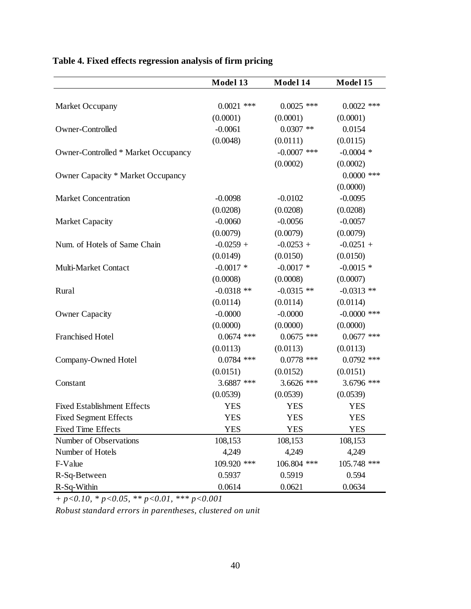|                                     | Model 13     | Model 14      | Model 15      |
|-------------------------------------|--------------|---------------|---------------|
|                                     |              |               |               |
| Market Occupany                     | $0.0021$ *** | $0.0025$ ***  | $0.0022$ ***  |
|                                     | (0.0001)     | (0.0001)      | (0.0001)      |
| Owner-Controlled                    | $-0.0061$    | $0.0307$ **   | 0.0154        |
|                                     | (0.0048)     | (0.0111)      | (0.0115)      |
| Owner-Controlled * Market Occupancy |              | $-0.0007$ *** | $-0.0004$ *   |
|                                     |              | (0.0002)      | (0.0002)      |
| Owner Capacity * Market Occupancy   |              |               | $0.0000$ ***  |
|                                     |              |               | (0.0000)      |
| <b>Market Concentration</b>         | $-0.0098$    | $-0.0102$     | $-0.0095$     |
|                                     | (0.0208)     | (0.0208)      | (0.0208)      |
| <b>Market Capacity</b>              | $-0.0060$    | $-0.0056$     | $-0.0057$     |
|                                     | (0.0079)     | (0.0079)      | (0.0079)      |
| Num. of Hotels of Same Chain        | $-0.0259 +$  | $-0.0253 +$   | $-0.0251 +$   |
|                                     | (0.0149)     | (0.0150)      | (0.0150)      |
| Multi-Market Contact                | $-0.0017$ *  | $-0.0017$ *   | $-0.0015$ *   |
|                                     | (0.0008)     | (0.0008)      | (0.0007)      |
| Rural                               | $-0.0318$ ** | $-0.0315$ **  | $-0.0313$ **  |
|                                     | (0.0114)     | (0.0114)      | (0.0114)      |
| <b>Owner Capacity</b>               | $-0.0000$    | $-0.0000$     | $-0.0000$ *** |
|                                     | (0.0000)     | (0.0000)      | (0.0000)      |
| <b>Franchised Hotel</b>             | $0.0674$ *** | $0.0675$ ***  | $0.0677$ ***  |
|                                     | (0.0113)     | (0.0113)      | (0.0113)      |
| Company-Owned Hotel                 | $0.0784$ *** | $0.0778$ ***  | $0.0792$ ***  |
|                                     | (0.0151)     | (0.0152)      | (0.0151)      |
| Constant                            | 3.6887 ***   | 3.6626 ***    | 3.6796 ***    |
|                                     | (0.0539)     | (0.0539)      | (0.0539)      |
| <b>Fixed Establishment Effects</b>  | <b>YES</b>   | <b>YES</b>    | <b>YES</b>    |
| <b>Fixed Segment Effects</b>        | <b>YES</b>   | <b>YES</b>    | <b>YES</b>    |
| <b>Fixed Time Effects</b>           | <b>YES</b>   | <b>YES</b>    | <b>YES</b>    |
| Number of Observations              | 108,153      | 108,153       | 108,153       |
| Number of Hotels                    | 4,249        | 4,249         | 4,249         |
| F-Value                             | 109.920 ***  | 106.804 ***   | 105.748 ***   |
| R-Sq-Between                        | 0.5937       | 0.5919        | 0.594         |
| R-Sq-Within                         | 0.0614       | 0.0621        | 0.0634        |

## **Table 4. Fixed effects regression analysis of firm pricing**

*+ p<0.10, \* p<0.05, \*\* p<0.01, \*\*\* p<0.001*

*Robust standard errors in parentheses, clustered on unit*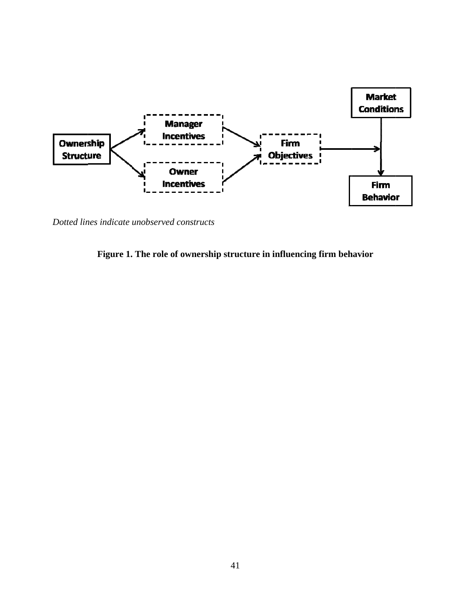

*Dotted lines indicate unobserved constructs*